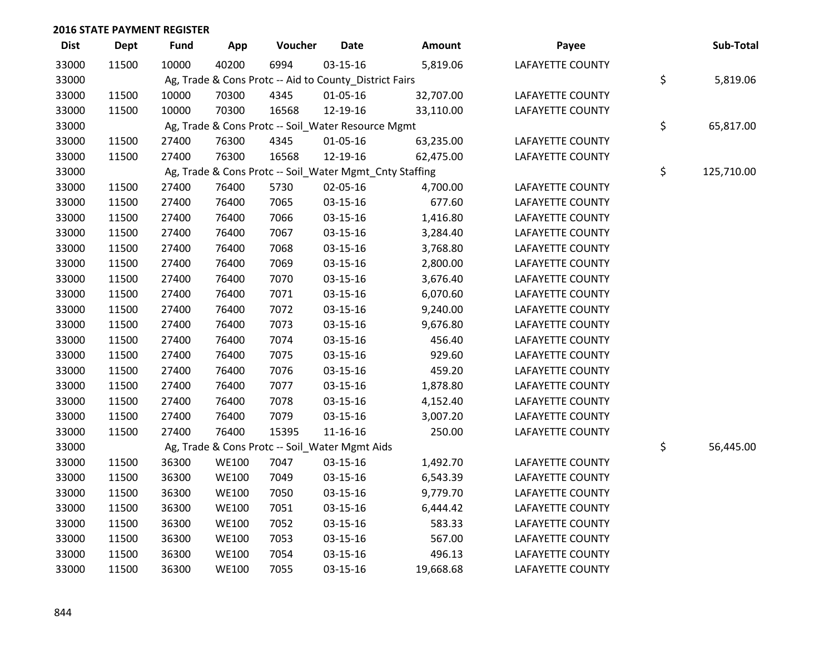| <b>Dist</b> | <b>Dept</b> | <b>Fund</b> | App          | Voucher                                                 | <b>Date</b>    | <b>Amount</b> | Payee                   | Sub-Total        |
|-------------|-------------|-------------|--------------|---------------------------------------------------------|----------------|---------------|-------------------------|------------------|
| 33000       | 11500       | 10000       | 40200        | 6994                                                    | $03 - 15 - 16$ | 5,819.06      | LAFAYETTE COUNTY        |                  |
| 33000       |             |             |              | Ag, Trade & Cons Protc -- Aid to County_District Fairs  |                |               |                         | \$<br>5,819.06   |
| 33000       | 11500       | 10000       | 70300        | 4345                                                    | 01-05-16       | 32,707.00     | LAFAYETTE COUNTY        |                  |
| 33000       | 11500       | 10000       | 70300        | 16568                                                   | 12-19-16       | 33,110.00     | LAFAYETTE COUNTY        |                  |
| 33000       |             |             |              | Ag, Trade & Cons Protc -- Soil_Water Resource Mgmt      |                |               |                         | \$<br>65,817.00  |
| 33000       | 11500       | 27400       | 76300        | 4345                                                    | 01-05-16       | 63,235.00     | LAFAYETTE COUNTY        |                  |
| 33000       | 11500       | 27400       | 76300        | 16568                                                   | 12-19-16       | 62,475.00     | <b>LAFAYETTE COUNTY</b> |                  |
| 33000       |             |             |              | Ag, Trade & Cons Protc -- Soil_Water Mgmt_Cnty Staffing |                |               |                         | \$<br>125,710.00 |
| 33000       | 11500       | 27400       | 76400        | 5730                                                    | 02-05-16       | 4,700.00      | LAFAYETTE COUNTY        |                  |
| 33000       | 11500       | 27400       | 76400        | 7065                                                    | 03-15-16       | 677.60        | <b>LAFAYETTE COUNTY</b> |                  |
| 33000       | 11500       | 27400       | 76400        | 7066                                                    | 03-15-16       | 1,416.80      | LAFAYETTE COUNTY        |                  |
| 33000       | 11500       | 27400       | 76400        | 7067                                                    | 03-15-16       | 3,284.40      | LAFAYETTE COUNTY        |                  |
| 33000       | 11500       | 27400       | 76400        | 7068                                                    | 03-15-16       | 3,768.80      | LAFAYETTE COUNTY        |                  |
| 33000       | 11500       | 27400       | 76400        | 7069                                                    | 03-15-16       | 2,800.00      | LAFAYETTE COUNTY        |                  |
| 33000       | 11500       | 27400       | 76400        | 7070                                                    | 03-15-16       | 3,676.40      | LAFAYETTE COUNTY        |                  |
| 33000       | 11500       | 27400       | 76400        | 7071                                                    | 03-15-16       | 6,070.60      | LAFAYETTE COUNTY        |                  |
| 33000       | 11500       | 27400       | 76400        | 7072                                                    | 03-15-16       | 9,240.00      | LAFAYETTE COUNTY        |                  |
| 33000       | 11500       | 27400       | 76400        | 7073                                                    | 03-15-16       | 9,676.80      | LAFAYETTE COUNTY        |                  |
| 33000       | 11500       | 27400       | 76400        | 7074                                                    | 03-15-16       | 456.40        | LAFAYETTE COUNTY        |                  |
| 33000       | 11500       | 27400       | 76400        | 7075                                                    | 03-15-16       | 929.60        | LAFAYETTE COUNTY        |                  |
| 33000       | 11500       | 27400       | 76400        | 7076                                                    | 03-15-16       | 459.20        | <b>LAFAYETTE COUNTY</b> |                  |
| 33000       | 11500       | 27400       | 76400        | 7077                                                    | 03-15-16       | 1,878.80      | LAFAYETTE COUNTY        |                  |
| 33000       | 11500       | 27400       | 76400        | 7078                                                    | 03-15-16       | 4,152.40      | LAFAYETTE COUNTY        |                  |
| 33000       | 11500       | 27400       | 76400        | 7079                                                    | 03-15-16       | 3,007.20      | LAFAYETTE COUNTY        |                  |
| 33000       | 11500       | 27400       | 76400        | 15395                                                   | 11-16-16       | 250.00        | LAFAYETTE COUNTY        |                  |
| 33000       |             |             |              | Ag, Trade & Cons Protc -- Soil_Water Mgmt Aids          |                |               |                         | \$<br>56,445.00  |
| 33000       | 11500       | 36300       | <b>WE100</b> | 7047                                                    | 03-15-16       | 1,492.70      | LAFAYETTE COUNTY        |                  |
| 33000       | 11500       | 36300       | <b>WE100</b> | 7049                                                    | 03-15-16       | 6,543.39      | LAFAYETTE COUNTY        |                  |
| 33000       | 11500       | 36300       | <b>WE100</b> | 7050                                                    | 03-15-16       | 9,779.70      | LAFAYETTE COUNTY        |                  |
| 33000       | 11500       | 36300       | <b>WE100</b> | 7051                                                    | 03-15-16       | 6,444.42      | LAFAYETTE COUNTY        |                  |
| 33000       | 11500       | 36300       | <b>WE100</b> | 7052                                                    | 03-15-16       | 583.33        | LAFAYETTE COUNTY        |                  |
| 33000       | 11500       | 36300       | <b>WE100</b> | 7053                                                    | 03-15-16       | 567.00        | LAFAYETTE COUNTY        |                  |
| 33000       | 11500       | 36300       | <b>WE100</b> | 7054                                                    | 03-15-16       | 496.13        | LAFAYETTE COUNTY        |                  |
| 33000       | 11500       | 36300       | <b>WE100</b> | 7055                                                    | 03-15-16       | 19,668.68     | <b>LAFAYETTE COUNTY</b> |                  |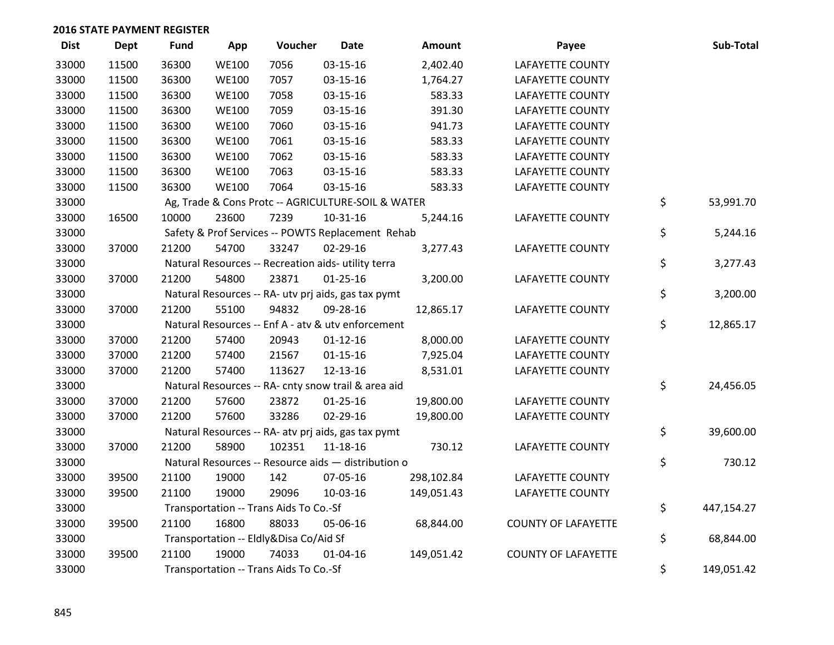| <b>Dist</b> | Dept  | <b>Fund</b> | App          | Voucher                                | <b>Date</b>                                         | Amount     | Payee                      | Sub-Total        |
|-------------|-------|-------------|--------------|----------------------------------------|-----------------------------------------------------|------------|----------------------------|------------------|
| 33000       | 11500 | 36300       | <b>WE100</b> | 7056                                   | 03-15-16                                            | 2,402.40   | <b>LAFAYETTE COUNTY</b>    |                  |
| 33000       | 11500 | 36300       | <b>WE100</b> | 7057                                   | 03-15-16                                            | 1,764.27   | LAFAYETTE COUNTY           |                  |
| 33000       | 11500 | 36300       | <b>WE100</b> | 7058                                   | 03-15-16                                            | 583.33     | <b>LAFAYETTE COUNTY</b>    |                  |
| 33000       | 11500 | 36300       | <b>WE100</b> | 7059                                   | 03-15-16                                            | 391.30     | <b>LAFAYETTE COUNTY</b>    |                  |
| 33000       | 11500 | 36300       | <b>WE100</b> | 7060                                   | 03-15-16                                            | 941.73     | <b>LAFAYETTE COUNTY</b>    |                  |
| 33000       | 11500 | 36300       | <b>WE100</b> | 7061                                   | 03-15-16                                            | 583.33     | <b>LAFAYETTE COUNTY</b>    |                  |
| 33000       | 11500 | 36300       | <b>WE100</b> | 7062                                   | 03-15-16                                            | 583.33     | <b>LAFAYETTE COUNTY</b>    |                  |
| 33000       | 11500 | 36300       | <b>WE100</b> | 7063                                   | 03-15-16                                            | 583.33     | <b>LAFAYETTE COUNTY</b>    |                  |
| 33000       | 11500 | 36300       | <b>WE100</b> | 7064                                   | 03-15-16                                            | 583.33     | LAFAYETTE COUNTY           |                  |
| 33000       |       |             |              |                                        | Ag, Trade & Cons Protc -- AGRICULTURE-SOIL & WATER  |            |                            | \$<br>53,991.70  |
| 33000       | 16500 | 10000       | 23600        | 7239                                   | $10 - 31 - 16$                                      | 5,244.16   | <b>LAFAYETTE COUNTY</b>    |                  |
| 33000       |       |             |              |                                        | Safety & Prof Services -- POWTS Replacement Rehab   |            |                            | \$<br>5,244.16   |
| 33000       | 37000 | 21200       | 54700        | 33247                                  | 02-29-16                                            | 3,277.43   | LAFAYETTE COUNTY           |                  |
| 33000       |       |             |              |                                        | Natural Resources -- Recreation aids- utility terra |            |                            | \$<br>3,277.43   |
| 33000       | 37000 | 21200       | 54800        | 23871                                  | $01 - 25 - 16$                                      | 3,200.00   | <b>LAFAYETTE COUNTY</b>    |                  |
| 33000       |       |             |              |                                        | Natural Resources -- RA- utv prj aids, gas tax pymt |            |                            | \$<br>3,200.00   |
| 33000       | 37000 | 21200       | 55100        | 94832                                  | 09-28-16                                            | 12,865.17  | LAFAYETTE COUNTY           |                  |
| 33000       |       |             |              |                                        | Natural Resources -- Enf A - atv & utv enforcement  |            |                            | \$<br>12,865.17  |
| 33000       | 37000 | 21200       | 57400        | 20943                                  | $01 - 12 - 16$                                      | 8,000.00   | <b>LAFAYETTE COUNTY</b>    |                  |
| 33000       | 37000 | 21200       | 57400        | 21567                                  | $01 - 15 - 16$                                      | 7,925.04   | LAFAYETTE COUNTY           |                  |
| 33000       | 37000 | 21200       | 57400        | 113627                                 | 12-13-16                                            | 8,531.01   | <b>LAFAYETTE COUNTY</b>    |                  |
| 33000       |       |             |              |                                        | Natural Resources -- RA- cnty snow trail & area aid |            |                            | \$<br>24,456.05  |
| 33000       | 37000 | 21200       | 57600        | 23872                                  | $01 - 25 - 16$                                      | 19,800.00  | <b>LAFAYETTE COUNTY</b>    |                  |
| 33000       | 37000 | 21200       | 57600        | 33286                                  | 02-29-16                                            | 19,800.00  | <b>LAFAYETTE COUNTY</b>    |                  |
| 33000       |       |             |              |                                        | Natural Resources -- RA- atv prj aids, gas tax pymt |            |                            | \$<br>39,600.00  |
| 33000       | 37000 | 21200       | 58900        | 102351                                 | 11-18-16                                            | 730.12     | LAFAYETTE COUNTY           |                  |
| 33000       |       |             |              |                                        | Natural Resources -- Resource aids - distribution o |            |                            | \$<br>730.12     |
| 33000       | 39500 | 21100       | 19000        | 142                                    | 07-05-16                                            | 298,102.84 | LAFAYETTE COUNTY           |                  |
| 33000       | 39500 | 21100       | 19000        | 29096                                  | 10-03-16                                            | 149,051.43 | <b>LAFAYETTE COUNTY</b>    |                  |
| 33000       |       |             |              | Transportation -- Trans Aids To Co.-Sf |                                                     |            |                            | \$<br>447,154.27 |
| 33000       | 39500 | 21100       | 16800        | 88033                                  | 05-06-16                                            | 68,844.00  | <b>COUNTY OF LAFAYETTE</b> |                  |
| 33000       |       |             |              | Transportation -- Eldly&Disa Co/Aid Sf |                                                     |            |                            | \$<br>68,844.00  |
| 33000       | 39500 | 21100       | 19000        | 74033                                  | $01 - 04 - 16$                                      | 149,051.42 | <b>COUNTY OF LAFAYETTE</b> |                  |
| 33000       |       |             |              | Transportation -- Trans Aids To Co.-Sf |                                                     |            |                            | \$<br>149,051.42 |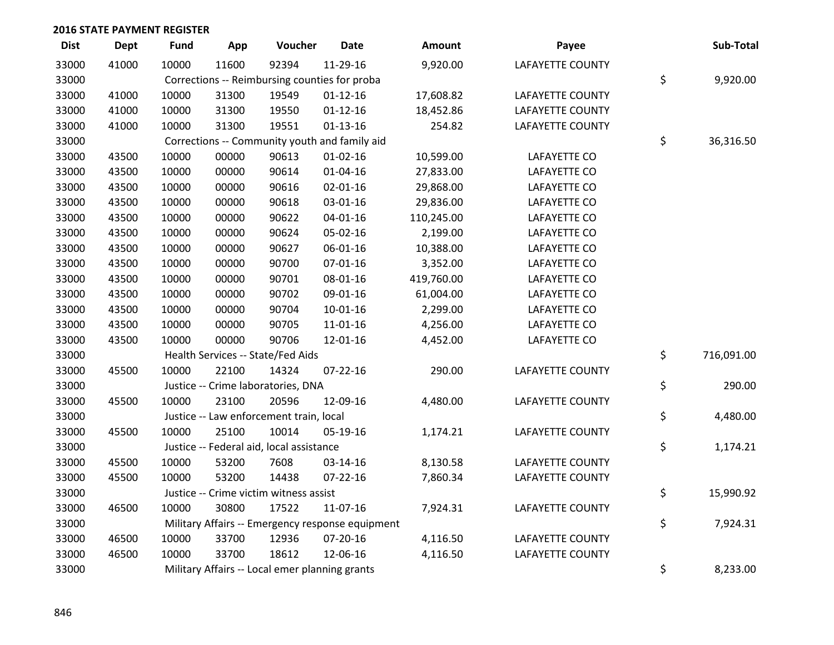| <b>Dist</b> | <b>Dept</b> | Fund  | App   | Voucher                                          | <b>Date</b>    | Amount     | Payee                   | Sub-Total        |
|-------------|-------------|-------|-------|--------------------------------------------------|----------------|------------|-------------------------|------------------|
| 33000       | 41000       | 10000 | 11600 | 92394                                            | 11-29-16       | 9,920.00   | <b>LAFAYETTE COUNTY</b> |                  |
| 33000       |             |       |       | Corrections -- Reimbursing counties for proba    |                |            |                         | \$<br>9,920.00   |
| 33000       | 41000       | 10000 | 31300 | 19549                                            | $01 - 12 - 16$ | 17,608.82  | <b>LAFAYETTE COUNTY</b> |                  |
| 33000       | 41000       | 10000 | 31300 | 19550                                            | $01 - 12 - 16$ | 18,452.86  | <b>LAFAYETTE COUNTY</b> |                  |
| 33000       | 41000       | 10000 | 31300 | 19551                                            | $01 - 13 - 16$ | 254.82     | <b>LAFAYETTE COUNTY</b> |                  |
| 33000       |             |       |       | Corrections -- Community youth and family aid    |                |            |                         | \$<br>36,316.50  |
| 33000       | 43500       | 10000 | 00000 | 90613                                            | $01 - 02 - 16$ | 10,599.00  | LAFAYETTE CO            |                  |
| 33000       | 43500       | 10000 | 00000 | 90614                                            | $01 - 04 - 16$ | 27,833.00  | LAFAYETTE CO            |                  |
| 33000       | 43500       | 10000 | 00000 | 90616                                            | 02-01-16       | 29,868.00  | LAFAYETTE CO            |                  |
| 33000       | 43500       | 10000 | 00000 | 90618                                            | 03-01-16       | 29,836.00  | LAFAYETTE CO            |                  |
| 33000       | 43500       | 10000 | 00000 | 90622                                            | $04 - 01 - 16$ | 110,245.00 | LAFAYETTE CO            |                  |
| 33000       | 43500       | 10000 | 00000 | 90624                                            | 05-02-16       | 2,199.00   | LAFAYETTE CO            |                  |
| 33000       | 43500       | 10000 | 00000 | 90627                                            | 06-01-16       | 10,388.00  | LAFAYETTE CO            |                  |
| 33000       | 43500       | 10000 | 00000 | 90700                                            | $07 - 01 - 16$ | 3,352.00   | LAFAYETTE CO            |                  |
| 33000       | 43500       | 10000 | 00000 | 90701                                            | 08-01-16       | 419,760.00 | LAFAYETTE CO            |                  |
| 33000       | 43500       | 10000 | 00000 | 90702                                            | 09-01-16       | 61,004.00  | LAFAYETTE CO            |                  |
| 33000       | 43500       | 10000 | 00000 | 90704                                            | 10-01-16       | 2,299.00   | LAFAYETTE CO            |                  |
| 33000       | 43500       | 10000 | 00000 | 90705                                            | 11-01-16       | 4,256.00   | LAFAYETTE CO            |                  |
| 33000       | 43500       | 10000 | 00000 | 90706                                            | 12-01-16       | 4,452.00   | LAFAYETTE CO            |                  |
| 33000       |             |       |       | Health Services -- State/Fed Aids                |                |            |                         | \$<br>716,091.00 |
| 33000       | 45500       | 10000 | 22100 | 14324                                            | $07 - 22 - 16$ | 290.00     | <b>LAFAYETTE COUNTY</b> |                  |
| 33000       |             |       |       | Justice -- Crime laboratories, DNA               |                |            |                         | \$<br>290.00     |
| 33000       | 45500       | 10000 | 23100 | 20596                                            | 12-09-16       | 4,480.00   | <b>LAFAYETTE COUNTY</b> |                  |
| 33000       |             |       |       | Justice -- Law enforcement train, local          |                |            |                         | \$<br>4,480.00   |
| 33000       | 45500       | 10000 | 25100 | 10014                                            | 05-19-16       | 1,174.21   | <b>LAFAYETTE COUNTY</b> |                  |
| 33000       |             |       |       | Justice -- Federal aid, local assistance         |                |            |                         | \$<br>1,174.21   |
| 33000       | 45500       | 10000 | 53200 | 7608                                             | 03-14-16       | 8,130.58   | <b>LAFAYETTE COUNTY</b> |                  |
| 33000       | 45500       | 10000 | 53200 | 14438                                            | $07 - 22 - 16$ | 7,860.34   | LAFAYETTE COUNTY        |                  |
| 33000       |             |       |       | Justice -- Crime victim witness assist           |                |            |                         | \$<br>15,990.92  |
| 33000       | 46500       | 10000 | 30800 | 17522                                            | 11-07-16       | 7,924.31   | LAFAYETTE COUNTY        |                  |
| 33000       |             |       |       | Military Affairs -- Emergency response equipment |                |            |                         | \$<br>7,924.31   |
| 33000       | 46500       | 10000 | 33700 | 12936                                            | 07-20-16       | 4,116.50   | <b>LAFAYETTE COUNTY</b> |                  |
| 33000       | 46500       | 10000 | 33700 | 18612                                            | 12-06-16       | 4,116.50   | <b>LAFAYETTE COUNTY</b> |                  |
| 33000       |             |       |       | Military Affairs -- Local emer planning grants   |                |            |                         | \$<br>8,233.00   |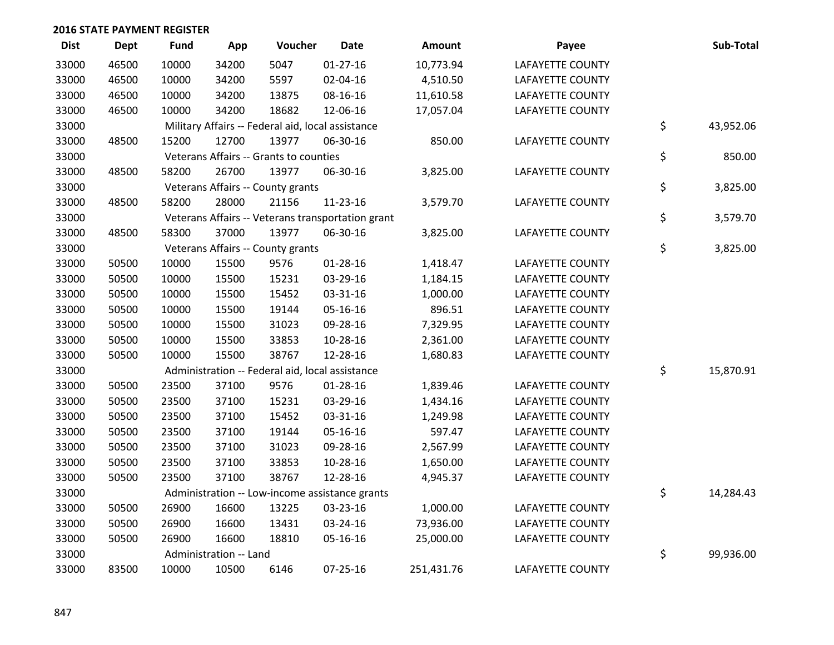| <b>Dist</b> | <b>Dept</b> | <b>Fund</b> | App                    | Voucher                                           | <b>Date</b>                                       | Amount     | Payee                   | Sub-Total       |
|-------------|-------------|-------------|------------------------|---------------------------------------------------|---------------------------------------------------|------------|-------------------------|-----------------|
| 33000       | 46500       | 10000       | 34200                  | 5047                                              | $01 - 27 - 16$                                    | 10,773.94  | LAFAYETTE COUNTY        |                 |
| 33000       | 46500       | 10000       | 34200                  | 5597                                              | 02-04-16                                          | 4,510.50   | LAFAYETTE COUNTY        |                 |
| 33000       | 46500       | 10000       | 34200                  | 13875                                             | 08-16-16                                          | 11,610.58  | <b>LAFAYETTE COUNTY</b> |                 |
| 33000       | 46500       | 10000       | 34200                  | 18682                                             | 12-06-16                                          | 17,057.04  | LAFAYETTE COUNTY        |                 |
| 33000       |             |             |                        | Military Affairs -- Federal aid, local assistance |                                                   |            |                         | \$<br>43,952.06 |
| 33000       | 48500       | 15200       | 12700                  | 13977                                             | 06-30-16                                          | 850.00     | <b>LAFAYETTE COUNTY</b> |                 |
| 33000       |             |             |                        | Veterans Affairs -- Grants to counties            |                                                   |            |                         | \$<br>850.00    |
| 33000       | 48500       | 58200       | 26700                  | 13977                                             | 06-30-16                                          | 3,825.00   | LAFAYETTE COUNTY        |                 |
| 33000       |             |             |                        | Veterans Affairs -- County grants                 |                                                   |            |                         | \$<br>3,825.00  |
| 33000       | 48500       | 58200       | 28000                  | 21156                                             | 11-23-16                                          | 3,579.70   | LAFAYETTE COUNTY        |                 |
| 33000       |             |             |                        |                                                   | Veterans Affairs -- Veterans transportation grant |            |                         | \$<br>3,579.70  |
| 33000       | 48500       | 58300       | 37000                  | 13977                                             | 06-30-16                                          | 3,825.00   | LAFAYETTE COUNTY        |                 |
| 33000       |             |             |                        | Veterans Affairs -- County grants                 |                                                   |            |                         | \$<br>3,825.00  |
| 33000       | 50500       | 10000       | 15500                  | 9576                                              | $01 - 28 - 16$                                    | 1,418.47   | LAFAYETTE COUNTY        |                 |
| 33000       | 50500       | 10000       | 15500                  | 15231                                             | 03-29-16                                          | 1,184.15   | LAFAYETTE COUNTY        |                 |
| 33000       | 50500       | 10000       | 15500                  | 15452                                             | 03-31-16                                          | 1,000.00   | LAFAYETTE COUNTY        |                 |
| 33000       | 50500       | 10000       | 15500                  | 19144                                             | 05-16-16                                          | 896.51     | LAFAYETTE COUNTY        |                 |
| 33000       | 50500       | 10000       | 15500                  | 31023                                             | 09-28-16                                          | 7,329.95   | LAFAYETTE COUNTY        |                 |
| 33000       | 50500       | 10000       | 15500                  | 33853                                             | 10-28-16                                          | 2,361.00   | LAFAYETTE COUNTY        |                 |
| 33000       | 50500       | 10000       | 15500                  | 38767                                             | 12-28-16                                          | 1,680.83   | LAFAYETTE COUNTY        |                 |
| 33000       |             |             |                        | Administration -- Federal aid, local assistance   |                                                   |            |                         | \$<br>15,870.91 |
| 33000       | 50500       | 23500       | 37100                  | 9576                                              | $01 - 28 - 16$                                    | 1,839.46   | LAFAYETTE COUNTY        |                 |
| 33000       | 50500       | 23500       | 37100                  | 15231                                             | 03-29-16                                          | 1,434.16   | LAFAYETTE COUNTY        |                 |
| 33000       | 50500       | 23500       | 37100                  | 15452                                             | 03-31-16                                          | 1,249.98   | <b>LAFAYETTE COUNTY</b> |                 |
| 33000       | 50500       | 23500       | 37100                  | 19144                                             | 05-16-16                                          | 597.47     | <b>LAFAYETTE COUNTY</b> |                 |
| 33000       | 50500       | 23500       | 37100                  | 31023                                             | 09-28-16                                          | 2,567.99   | <b>LAFAYETTE COUNTY</b> |                 |
| 33000       | 50500       | 23500       | 37100                  | 33853                                             | 10-28-16                                          | 1,650.00   | LAFAYETTE COUNTY        |                 |
| 33000       | 50500       | 23500       | 37100                  | 38767                                             | 12-28-16                                          | 4,945.37   | LAFAYETTE COUNTY        |                 |
| 33000       |             |             |                        |                                                   | Administration -- Low-income assistance grants    |            |                         | \$<br>14,284.43 |
| 33000       | 50500       | 26900       | 16600                  | 13225                                             | 03-23-16                                          | 1,000.00   | LAFAYETTE COUNTY        |                 |
| 33000       | 50500       | 26900       | 16600                  | 13431                                             | 03-24-16                                          | 73,936.00  | LAFAYETTE COUNTY        |                 |
| 33000       | 50500       | 26900       | 16600                  | 18810                                             | 05-16-16                                          | 25,000.00  | LAFAYETTE COUNTY        |                 |
| 33000       |             |             | Administration -- Land |                                                   |                                                   |            |                         | \$<br>99,936.00 |
| 33000       | 83500       | 10000       | 10500                  | 6146                                              | 07-25-16                                          | 251,431.76 | LAFAYETTE COUNTY        |                 |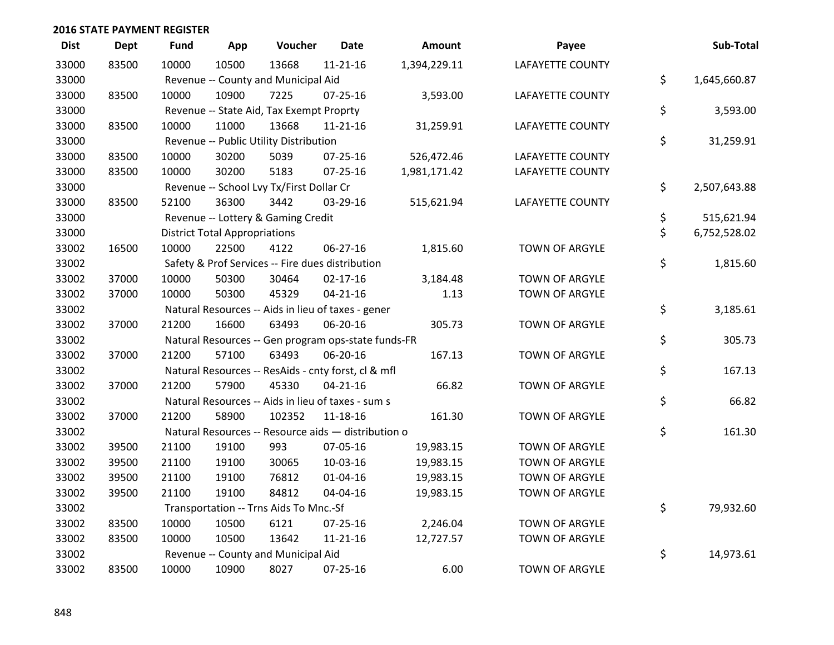| <b>Dist</b> | <b>Dept</b> | <b>Fund</b> | App                                  | Voucher                                             | <b>Date</b>    | Amount       | Payee                   | Sub-Total          |
|-------------|-------------|-------------|--------------------------------------|-----------------------------------------------------|----------------|--------------|-------------------------|--------------------|
| 33000       | 83500       | 10000       | 10500                                | 13668                                               | $11 - 21 - 16$ | 1,394,229.11 | LAFAYETTE COUNTY        |                    |
| 33000       |             |             |                                      | Revenue -- County and Municipal Aid                 |                |              |                         | \$<br>1,645,660.87 |
| 33000       | 83500       | 10000       | 10900                                | 7225                                                | $07 - 25 - 16$ | 3,593.00     | LAFAYETTE COUNTY        |                    |
| 33000       |             |             |                                      | Revenue -- State Aid, Tax Exempt Proprty            |                |              |                         | \$<br>3,593.00     |
| 33000       | 83500       | 10000       | 11000                                | 13668                                               | $11 - 21 - 16$ | 31,259.91    | <b>LAFAYETTE COUNTY</b> |                    |
| 33000       |             |             |                                      | Revenue -- Public Utility Distribution              |                |              |                         | \$<br>31,259.91    |
| 33000       | 83500       | 10000       | 30200                                | 5039                                                | $07 - 25 - 16$ | 526,472.46   | LAFAYETTE COUNTY        |                    |
| 33000       | 83500       | 10000       | 30200                                | 5183                                                | $07 - 25 - 16$ | 1,981,171.42 | LAFAYETTE COUNTY        |                    |
| 33000       |             |             |                                      | Revenue -- School Lvy Tx/First Dollar Cr            |                |              |                         | \$<br>2,507,643.88 |
| 33000       | 83500       | 52100       | 36300                                | 3442                                                | 03-29-16       | 515,621.94   | LAFAYETTE COUNTY        |                    |
| 33000       |             |             |                                      | Revenue -- Lottery & Gaming Credit                  |                |              |                         | \$<br>515,621.94   |
| 33000       |             |             | <b>District Total Appropriations</b> |                                                     |                |              |                         | \$<br>6,752,528.02 |
| 33002       | 16500       | 10000       | 22500                                | 4122                                                | 06-27-16       | 1,815.60     | TOWN OF ARGYLE          |                    |
| 33002       |             |             |                                      | Safety & Prof Services -- Fire dues distribution    |                |              |                         | \$<br>1,815.60     |
| 33002       | 37000       | 10000       | 50300                                | 30464                                               | $02 - 17 - 16$ | 3,184.48     | TOWN OF ARGYLE          |                    |
| 33002       | 37000       | 10000       | 50300                                | 45329                                               | $04 - 21 - 16$ | 1.13         | <b>TOWN OF ARGYLE</b>   |                    |
| 33002       |             |             |                                      | Natural Resources -- Aids in lieu of taxes - gener  |                |              |                         | \$<br>3,185.61     |
| 33002       | 37000       | 21200       | 16600                                | 63493                                               | 06-20-16       | 305.73       | <b>TOWN OF ARGYLE</b>   |                    |
| 33002       |             |             |                                      | Natural Resources -- Gen program ops-state funds-FR |                |              |                         | \$<br>305.73       |
| 33002       | 37000       | 21200       | 57100                                | 63493                                               | 06-20-16       | 167.13       | <b>TOWN OF ARGYLE</b>   |                    |
| 33002       |             |             |                                      | Natural Resources -- ResAids - cnty forst, cl & mfl |                |              |                         | \$<br>167.13       |
| 33002       | 37000       | 21200       | 57900                                | 45330                                               | $04 - 21 - 16$ | 66.82        | TOWN OF ARGYLE          |                    |
| 33002       |             |             |                                      | Natural Resources -- Aids in lieu of taxes - sum s  |                |              |                         | \$<br>66.82        |
| 33002       | 37000       | 21200       | 58900                                | 102352                                              | $11 - 18 - 16$ | 161.30       | TOWN OF ARGYLE          |                    |
| 33002       |             |             |                                      | Natural Resources -- Resource aids - distribution o |                |              |                         | \$<br>161.30       |
| 33002       | 39500       | 21100       | 19100                                | 993                                                 | 07-05-16       | 19,983.15    | <b>TOWN OF ARGYLE</b>   |                    |
| 33002       | 39500       | 21100       | 19100                                | 30065                                               | 10-03-16       | 19,983.15    | <b>TOWN OF ARGYLE</b>   |                    |
| 33002       | 39500       | 21100       | 19100                                | 76812                                               | $01 - 04 - 16$ | 19,983.15    | <b>TOWN OF ARGYLE</b>   |                    |
| 33002       | 39500       | 21100       | 19100                                | 84812                                               | 04-04-16       | 19,983.15    | <b>TOWN OF ARGYLE</b>   |                    |
| 33002       |             |             |                                      | Transportation -- Trns Aids To Mnc.-Sf              |                |              |                         | \$<br>79,932.60    |
| 33002       | 83500       | 10000       | 10500                                | 6121                                                | $07 - 25 - 16$ | 2,246.04     | <b>TOWN OF ARGYLE</b>   |                    |
| 33002       | 83500       | 10000       | 10500                                | 13642                                               | $11 - 21 - 16$ | 12,727.57    | <b>TOWN OF ARGYLE</b>   |                    |
| 33002       |             |             |                                      | Revenue -- County and Municipal Aid                 |                |              |                         | \$<br>14,973.61    |
| 33002       | 83500       | 10000       | 10900                                | 8027                                                | $07 - 25 - 16$ | 6.00         | <b>TOWN OF ARGYLE</b>   |                    |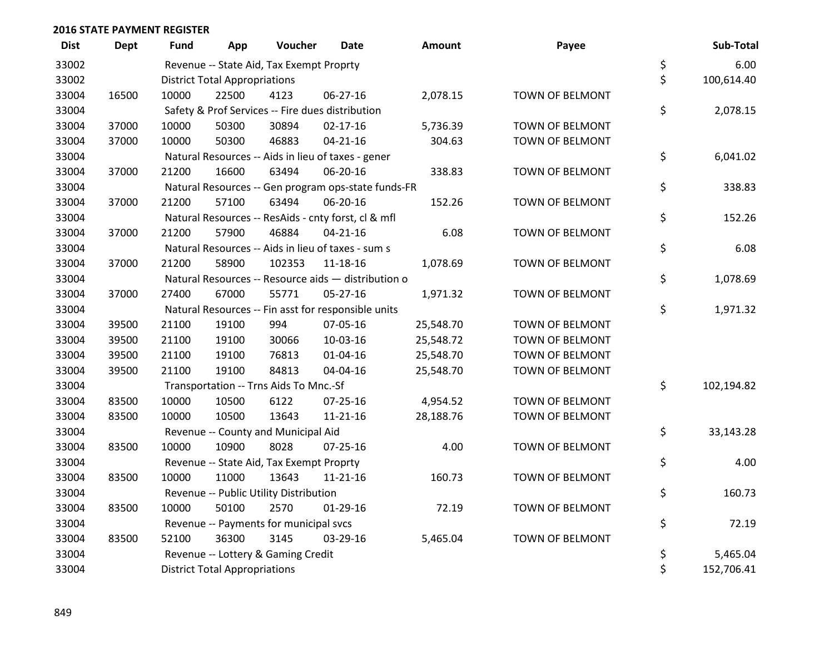| <b>Dist</b> | <b>Dept</b> | Fund  | App                                  | Voucher                                  | Date                                                | Amount    | Payee                  | Sub-Total        |
|-------------|-------------|-------|--------------------------------------|------------------------------------------|-----------------------------------------------------|-----------|------------------------|------------------|
| 33002       |             |       |                                      | Revenue -- State Aid, Tax Exempt Proprty |                                                     |           |                        | \$<br>6.00       |
| 33002       |             |       | <b>District Total Appropriations</b> |                                          |                                                     |           |                        | \$<br>100,614.40 |
| 33004       | 16500       | 10000 | 22500                                | 4123                                     | 06-27-16                                            | 2,078.15  | TOWN OF BELMONT        |                  |
| 33004       |             |       |                                      |                                          | Safety & Prof Services -- Fire dues distribution    |           |                        | \$<br>2,078.15   |
| 33004       | 37000       | 10000 | 50300                                | 30894                                    | $02 - 17 - 16$                                      | 5,736.39  | TOWN OF BELMONT        |                  |
| 33004       | 37000       | 10000 | 50300                                | 46883                                    | $04 - 21 - 16$                                      | 304.63    | TOWN OF BELMONT        |                  |
| 33004       |             |       |                                      |                                          | Natural Resources -- Aids in lieu of taxes - gener  |           |                        | \$<br>6,041.02   |
| 33004       | 37000       | 21200 | 16600                                | 63494                                    | 06-20-16                                            | 338.83    | TOWN OF BELMONT        |                  |
| 33004       |             |       |                                      |                                          | Natural Resources -- Gen program ops-state funds-FR |           |                        | \$<br>338.83     |
| 33004       | 37000       | 21200 | 57100                                | 63494                                    | 06-20-16                                            | 152.26    | <b>TOWN OF BELMONT</b> |                  |
| 33004       |             |       |                                      |                                          | Natural Resources -- ResAids - cnty forst, cl & mfl |           |                        | \$<br>152.26     |
| 33004       | 37000       | 21200 | 57900                                | 46884                                    | $04 - 21 - 16$                                      | 6.08      | TOWN OF BELMONT        |                  |
| 33004       |             |       |                                      |                                          | Natural Resources -- Aids in lieu of taxes - sum s  |           |                        | \$<br>6.08       |
| 33004       | 37000       | 21200 | 58900                                | 102353                                   | 11-18-16                                            | 1,078.69  | TOWN OF BELMONT        |                  |
| 33004       |             |       |                                      |                                          | Natural Resources -- Resource aids - distribution o |           |                        | \$<br>1,078.69   |
| 33004       | 37000       | 27400 | 67000                                | 55771                                    | $05 - 27 - 16$                                      | 1,971.32  | <b>TOWN OF BELMONT</b> |                  |
| 33004       |             |       |                                      |                                          | Natural Resources -- Fin asst for responsible units |           |                        | \$<br>1,971.32   |
| 33004       | 39500       | 21100 | 19100                                | 994                                      | 07-05-16                                            | 25,548.70 | TOWN OF BELMONT        |                  |
| 33004       | 39500       | 21100 | 19100                                | 30066                                    | 10-03-16                                            | 25,548.72 | <b>TOWN OF BELMONT</b> |                  |
| 33004       | 39500       | 21100 | 19100                                | 76813                                    | 01-04-16                                            | 25,548.70 | TOWN OF BELMONT        |                  |
| 33004       | 39500       | 21100 | 19100                                | 84813                                    | 04-04-16                                            | 25,548.70 | TOWN OF BELMONT        |                  |
| 33004       |             |       |                                      | Transportation -- Trns Aids To Mnc.-Sf   |                                                     |           |                        | \$<br>102,194.82 |
| 33004       | 83500       | 10000 | 10500                                | 6122                                     | $07 - 25 - 16$                                      | 4,954.52  | <b>TOWN OF BELMONT</b> |                  |
| 33004       | 83500       | 10000 | 10500                                | 13643                                    | $11 - 21 - 16$                                      | 28,188.76 | TOWN OF BELMONT        |                  |
| 33004       |             |       |                                      | Revenue -- County and Municipal Aid      |                                                     |           |                        | \$<br>33,143.28  |
| 33004       | 83500       | 10000 | 10900                                | 8028                                     | $07 - 25 - 16$                                      | 4.00      | TOWN OF BELMONT        |                  |
| 33004       |             |       |                                      | Revenue -- State Aid, Tax Exempt Proprty |                                                     |           |                        | \$<br>4.00       |
| 33004       | 83500       | 10000 | 11000                                | 13643                                    | $11 - 21 - 16$                                      | 160.73    | TOWN OF BELMONT        |                  |
| 33004       |             |       |                                      | Revenue -- Public Utility Distribution   |                                                     |           |                        | \$<br>160.73     |
| 33004       | 83500       | 10000 | 50100                                | 2570                                     | $01-29-16$                                          | 72.19     | <b>TOWN OF BELMONT</b> |                  |
| 33004       |             |       |                                      | Revenue -- Payments for municipal svcs   |                                                     |           |                        | \$<br>72.19      |
| 33004       | 83500       | 52100 | 36300                                | 3145                                     | 03-29-16                                            | 5,465.04  | TOWN OF BELMONT        |                  |
| 33004       |             |       |                                      | Revenue -- Lottery & Gaming Credit       |                                                     |           |                        | \$<br>5,465.04   |
| 33004       |             |       | <b>District Total Appropriations</b> |                                          |                                                     |           |                        | \$<br>152,706.41 |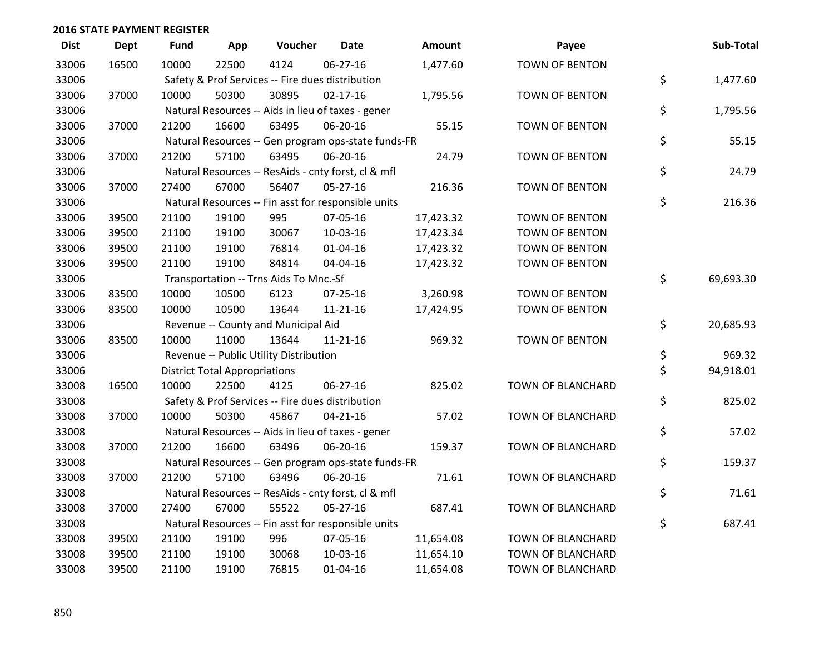| <b>Dist</b> | Dept  | <b>Fund</b> | App                                  | Voucher                                             | <b>Date</b>    | <b>Amount</b> | Payee                 | Sub-Total       |
|-------------|-------|-------------|--------------------------------------|-----------------------------------------------------|----------------|---------------|-----------------------|-----------------|
| 33006       | 16500 | 10000       | 22500                                | 4124                                                | 06-27-16       | 1,477.60      | <b>TOWN OF BENTON</b> |                 |
| 33006       |       |             |                                      | Safety & Prof Services -- Fire dues distribution    |                |               |                       | \$<br>1,477.60  |
| 33006       | 37000 | 10000       | 50300                                | 30895                                               | $02 - 17 - 16$ | 1,795.56      | <b>TOWN OF BENTON</b> |                 |
| 33006       |       |             |                                      | Natural Resources -- Aids in lieu of taxes - gener  |                |               |                       | \$<br>1,795.56  |
| 33006       | 37000 | 21200       | 16600                                | 63495                                               | 06-20-16       | 55.15         | <b>TOWN OF BENTON</b> |                 |
| 33006       |       |             |                                      | Natural Resources -- Gen program ops-state funds-FR |                |               |                       | \$<br>55.15     |
| 33006       | 37000 | 21200       | 57100                                | 63495                                               | 06-20-16       | 24.79         | <b>TOWN OF BENTON</b> |                 |
| 33006       |       |             |                                      | Natural Resources -- ResAids - cnty forst, cl & mfl |                |               |                       | \$<br>24.79     |
| 33006       | 37000 | 27400       | 67000                                | 56407                                               | $05 - 27 - 16$ | 216.36        | <b>TOWN OF BENTON</b> |                 |
| 33006       |       |             |                                      | Natural Resources -- Fin asst for responsible units |                |               |                       | \$<br>216.36    |
| 33006       | 39500 | 21100       | 19100                                | 995                                                 | 07-05-16       | 17,423.32     | <b>TOWN OF BENTON</b> |                 |
| 33006       | 39500 | 21100       | 19100                                | 30067                                               | 10-03-16       | 17,423.34     | <b>TOWN OF BENTON</b> |                 |
| 33006       | 39500 | 21100       | 19100                                | 76814                                               | $01 - 04 - 16$ | 17,423.32     | TOWN OF BENTON        |                 |
| 33006       | 39500 | 21100       | 19100                                | 84814                                               | 04-04-16       | 17,423.32     | <b>TOWN OF BENTON</b> |                 |
| 33006       |       |             |                                      | Transportation -- Trns Aids To Mnc.-Sf              |                |               |                       | \$<br>69,693.30 |
| 33006       | 83500 | 10000       | 10500                                | 6123                                                | $07 - 25 - 16$ | 3,260.98      | <b>TOWN OF BENTON</b> |                 |
| 33006       | 83500 | 10000       | 10500                                | 13644                                               | $11 - 21 - 16$ | 17,424.95     | TOWN OF BENTON        |                 |
| 33006       |       |             |                                      | Revenue -- County and Municipal Aid                 |                |               |                       | \$<br>20,685.93 |
| 33006       | 83500 | 10000       | 11000                                | 13644                                               | $11 - 21 - 16$ | 969.32        | <b>TOWN OF BENTON</b> |                 |
| 33006       |       |             |                                      | Revenue -- Public Utility Distribution              |                |               |                       | \$<br>969.32    |
| 33006       |       |             | <b>District Total Appropriations</b> |                                                     |                |               |                       | \$<br>94,918.01 |
| 33008       | 16500 | 10000       | 22500                                | 4125                                                | $06 - 27 - 16$ | 825.02        | TOWN OF BLANCHARD     |                 |
| 33008       |       |             |                                      | Safety & Prof Services -- Fire dues distribution    |                |               |                       | \$<br>825.02    |
| 33008       | 37000 | 10000       | 50300                                | 45867                                               | $04 - 21 - 16$ | 57.02         | TOWN OF BLANCHARD     |                 |
| 33008       |       |             |                                      | Natural Resources -- Aids in lieu of taxes - gener  |                |               |                       | \$<br>57.02     |
| 33008       | 37000 | 21200       | 16600                                | 63496                                               | 06-20-16       | 159.37        | TOWN OF BLANCHARD     |                 |
| 33008       |       |             |                                      | Natural Resources -- Gen program ops-state funds-FR |                |               |                       | \$<br>159.37    |
| 33008       | 37000 | 21200       | 57100                                | 63496                                               | 06-20-16       | 71.61         | TOWN OF BLANCHARD     |                 |
| 33008       |       |             |                                      | Natural Resources -- ResAids - cnty forst, cl & mfl |                |               |                       | \$<br>71.61     |
| 33008       | 37000 | 27400       | 67000                                | 55522                                               | $05 - 27 - 16$ | 687.41        | TOWN OF BLANCHARD     |                 |
| 33008       |       |             |                                      | Natural Resources -- Fin asst for responsible units |                |               |                       | \$<br>687.41    |
| 33008       | 39500 | 21100       | 19100                                | 996                                                 | 07-05-16       | 11,654.08     | TOWN OF BLANCHARD     |                 |
| 33008       | 39500 | 21100       | 19100                                | 30068                                               | 10-03-16       | 11,654.10     | TOWN OF BLANCHARD     |                 |
| 33008       | 39500 | 21100       | 19100                                | 76815                                               | $01 - 04 - 16$ | 11,654.08     | TOWN OF BLANCHARD     |                 |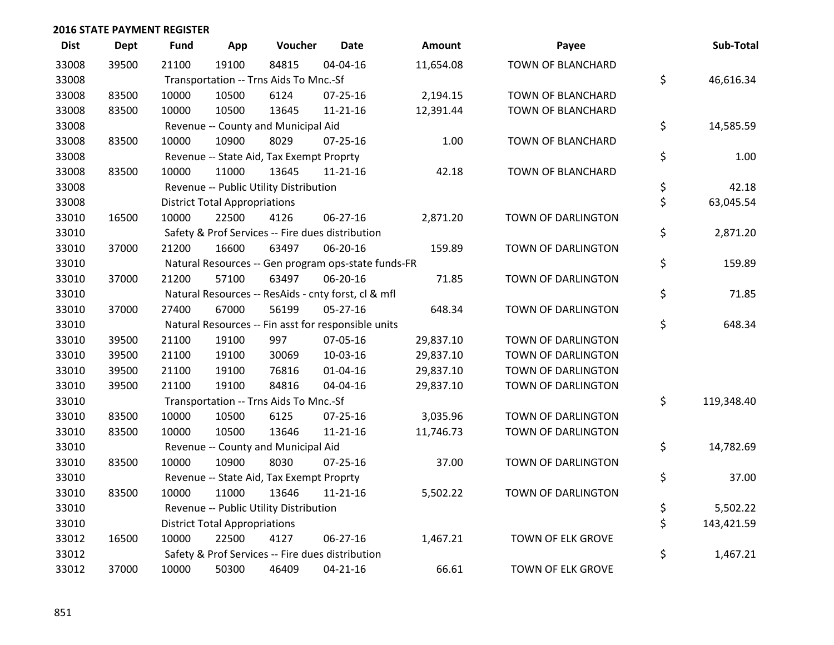| <b>Dist</b> | <b>Dept</b> | <b>Fund</b> | App                                  | Voucher                                             | <b>Date</b>    | Amount    | Payee                    | Sub-Total        |
|-------------|-------------|-------------|--------------------------------------|-----------------------------------------------------|----------------|-----------|--------------------------|------------------|
| 33008       | 39500       | 21100       | 19100                                | 84815                                               | 04-04-16       | 11,654.08 | TOWN OF BLANCHARD        |                  |
| 33008       |             |             |                                      | Transportation -- Trns Aids To Mnc.-Sf              |                |           |                          | \$<br>46,616.34  |
| 33008       | 83500       | 10000       | 10500                                | 6124                                                | 07-25-16       | 2,194.15  | <b>TOWN OF BLANCHARD</b> |                  |
| 33008       | 83500       | 10000       | 10500                                | 13645                                               | $11 - 21 - 16$ | 12,391.44 | TOWN OF BLANCHARD        |                  |
| 33008       |             |             |                                      | Revenue -- County and Municipal Aid                 |                |           |                          | \$<br>14,585.59  |
| 33008       | 83500       | 10000       | 10900                                | 8029                                                | $07 - 25 - 16$ | 1.00      | TOWN OF BLANCHARD        |                  |
| 33008       |             |             |                                      | Revenue -- State Aid, Tax Exempt Proprty            |                |           |                          | \$<br>1.00       |
| 33008       | 83500       | 10000       | 11000                                | 13645                                               | 11-21-16       | 42.18     | <b>TOWN OF BLANCHARD</b> |                  |
| 33008       |             |             |                                      | Revenue -- Public Utility Distribution              |                |           |                          | \$<br>42.18      |
| 33008       |             |             | <b>District Total Appropriations</b> |                                                     |                |           |                          | \$<br>63,045.54  |
| 33010       | 16500       | 10000       | 22500                                | 4126                                                | 06-27-16       | 2,871.20  | TOWN OF DARLINGTON       |                  |
| 33010       |             |             |                                      | Safety & Prof Services -- Fire dues distribution    |                |           |                          | \$<br>2,871.20   |
| 33010       | 37000       | 21200       | 16600                                | 63497                                               | 06-20-16       | 159.89    | TOWN OF DARLINGTON       |                  |
| 33010       |             |             |                                      | Natural Resources -- Gen program ops-state funds-FR |                |           |                          | \$<br>159.89     |
| 33010       | 37000       | 21200       | 57100                                | 63497                                               | 06-20-16       | 71.85     | TOWN OF DARLINGTON       |                  |
| 33010       |             |             |                                      | Natural Resources -- ResAids - cnty forst, cl & mfl |                |           |                          | \$<br>71.85      |
| 33010       | 37000       | 27400       | 67000                                | 56199                                               | $05 - 27 - 16$ | 648.34    | TOWN OF DARLINGTON       |                  |
| 33010       |             |             |                                      | Natural Resources -- Fin asst for responsible units |                |           |                          | \$<br>648.34     |
| 33010       | 39500       | 21100       | 19100                                | 997                                                 | 07-05-16       | 29,837.10 | TOWN OF DARLINGTON       |                  |
| 33010       | 39500       | 21100       | 19100                                | 30069                                               | 10-03-16       | 29,837.10 | TOWN OF DARLINGTON       |                  |
| 33010       | 39500       | 21100       | 19100                                | 76816                                               | $01 - 04 - 16$ | 29,837.10 | TOWN OF DARLINGTON       |                  |
| 33010       | 39500       | 21100       | 19100                                | 84816                                               | 04-04-16       | 29,837.10 | TOWN OF DARLINGTON       |                  |
| 33010       |             |             |                                      | Transportation -- Trns Aids To Mnc.-Sf              |                |           |                          | \$<br>119,348.40 |
| 33010       | 83500       | 10000       | 10500                                | 6125                                                | $07 - 25 - 16$ | 3,035.96  | TOWN OF DARLINGTON       |                  |
| 33010       | 83500       | 10000       | 10500                                | 13646                                               | $11 - 21 - 16$ | 11,746.73 | TOWN OF DARLINGTON       |                  |
| 33010       |             |             |                                      | Revenue -- County and Municipal Aid                 |                |           |                          | \$<br>14,782.69  |
| 33010       | 83500       | 10000       | 10900                                | 8030                                                | $07 - 25 - 16$ | 37.00     | TOWN OF DARLINGTON       |                  |
| 33010       |             |             |                                      | Revenue -- State Aid, Tax Exempt Proprty            |                |           |                          | \$<br>37.00      |
| 33010       | 83500       | 10000       | 11000                                | 13646                                               | $11 - 21 - 16$ | 5,502.22  | TOWN OF DARLINGTON       |                  |
| 33010       |             |             |                                      | Revenue -- Public Utility Distribution              |                |           |                          | \$<br>5,502.22   |
| 33010       |             |             | <b>District Total Appropriations</b> |                                                     |                |           |                          | \$<br>143,421.59 |
| 33012       | 16500       | 10000       | 22500                                | 4127                                                | 06-27-16       | 1,467.21  | TOWN OF ELK GROVE        |                  |
| 33012       |             |             |                                      | Safety & Prof Services -- Fire dues distribution    |                |           |                          | \$<br>1,467.21   |
| 33012       | 37000       | 10000       | 50300                                | 46409                                               | $04 - 21 - 16$ | 66.61     | TOWN OF ELK GROVE        |                  |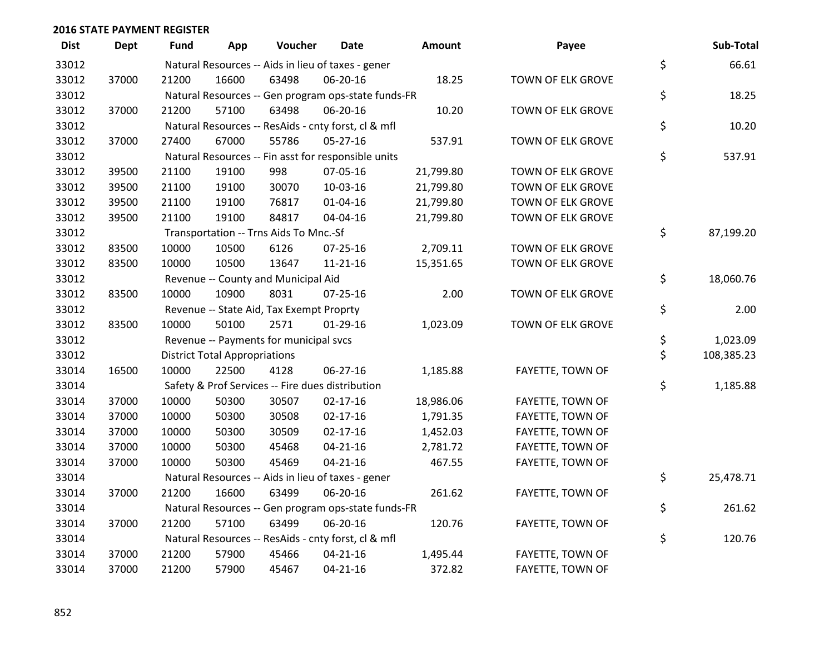| <b>Dist</b> | <b>Dept</b> | <b>Fund</b> | App                                  | Voucher                                             | <b>Date</b>    | Amount    | Payee                    | Sub-Total        |
|-------------|-------------|-------------|--------------------------------------|-----------------------------------------------------|----------------|-----------|--------------------------|------------------|
| 33012       |             |             |                                      | Natural Resources -- Aids in lieu of taxes - gener  |                |           |                          | \$<br>66.61      |
| 33012       | 37000       | 21200       | 16600                                | 63498                                               | 06-20-16       | 18.25     | <b>TOWN OF ELK GROVE</b> |                  |
| 33012       |             |             |                                      | Natural Resources -- Gen program ops-state funds-FR |                |           |                          | \$<br>18.25      |
| 33012       | 37000       | 21200       | 57100                                | 63498                                               | 06-20-16       | 10.20     | TOWN OF ELK GROVE        |                  |
| 33012       |             |             |                                      | Natural Resources -- ResAids - cnty forst, cl & mfl |                |           |                          | \$<br>10.20      |
| 33012       | 37000       | 27400       | 67000                                | 55786                                               | 05-27-16       | 537.91    | TOWN OF ELK GROVE        |                  |
| 33012       |             |             |                                      | Natural Resources -- Fin asst for responsible units |                |           |                          | \$<br>537.91     |
| 33012       | 39500       | 21100       | 19100                                | 998                                                 | 07-05-16       | 21,799.80 | TOWN OF ELK GROVE        |                  |
| 33012       | 39500       | 21100       | 19100                                | 30070                                               | 10-03-16       | 21,799.80 | TOWN OF ELK GROVE        |                  |
| 33012       | 39500       | 21100       | 19100                                | 76817                                               | 01-04-16       | 21,799.80 | TOWN OF ELK GROVE        |                  |
| 33012       | 39500       | 21100       | 19100                                | 84817                                               | 04-04-16       | 21,799.80 | TOWN OF ELK GROVE        |                  |
| 33012       |             |             |                                      | Transportation -- Trns Aids To Mnc.-Sf              |                |           |                          | \$<br>87,199.20  |
| 33012       | 83500       | 10000       | 10500                                | 6126                                                | $07 - 25 - 16$ | 2,709.11  | TOWN OF ELK GROVE        |                  |
| 33012       | 83500       | 10000       | 10500                                | 13647                                               | $11 - 21 - 16$ | 15,351.65 | TOWN OF ELK GROVE        |                  |
| 33012       |             |             |                                      | Revenue -- County and Municipal Aid                 |                |           |                          | \$<br>18,060.76  |
| 33012       | 83500       | 10000       | 10900                                | 8031                                                | $07 - 25 - 16$ | 2.00      | TOWN OF ELK GROVE        |                  |
| 33012       |             |             |                                      | Revenue -- State Aid, Tax Exempt Proprty            |                |           |                          | \$<br>2.00       |
| 33012       | 83500       | 10000       | 50100                                | 2571                                                | $01-29-16$     | 1,023.09  | TOWN OF ELK GROVE        |                  |
| 33012       |             |             |                                      | Revenue -- Payments for municipal svcs              |                |           |                          | \$<br>1,023.09   |
| 33012       |             |             | <b>District Total Appropriations</b> |                                                     |                |           |                          | \$<br>108,385.23 |
| 33014       | 16500       | 10000       | 22500                                | 4128                                                | 06-27-16       | 1,185.88  | FAYETTE, TOWN OF         |                  |
| 33014       |             |             |                                      | Safety & Prof Services -- Fire dues distribution    |                |           |                          | \$<br>1,185.88   |
| 33014       | 37000       | 10000       | 50300                                | 30507                                               | $02 - 17 - 16$ | 18,986.06 | FAYETTE, TOWN OF         |                  |
| 33014       | 37000       | 10000       | 50300                                | 30508                                               | $02 - 17 - 16$ | 1,791.35  | FAYETTE, TOWN OF         |                  |
| 33014       | 37000       | 10000       | 50300                                | 30509                                               | $02 - 17 - 16$ | 1,452.03  | FAYETTE, TOWN OF         |                  |
| 33014       | 37000       | 10000       | 50300                                | 45468                                               | $04 - 21 - 16$ | 2,781.72  | FAYETTE, TOWN OF         |                  |
| 33014       | 37000       | 10000       | 50300                                | 45469                                               | $04 - 21 - 16$ | 467.55    | FAYETTE, TOWN OF         |                  |
| 33014       |             |             |                                      | Natural Resources -- Aids in lieu of taxes - gener  |                |           |                          | \$<br>25,478.71  |
| 33014       | 37000       | 21200       | 16600                                | 63499                                               | 06-20-16       | 261.62    | FAYETTE, TOWN OF         |                  |
| 33014       |             |             |                                      | Natural Resources -- Gen program ops-state funds-FR |                |           |                          | \$<br>261.62     |
| 33014       | 37000       | 21200       | 57100                                | 63499                                               | 06-20-16       | 120.76    | FAYETTE, TOWN OF         |                  |
| 33014       |             |             |                                      | Natural Resources -- ResAids - cnty forst, cl & mfl |                |           |                          | \$<br>120.76     |
| 33014       | 37000       | 21200       | 57900                                | 45466                                               | $04 - 21 - 16$ | 1,495.44  | FAYETTE, TOWN OF         |                  |
| 33014       | 37000       | 21200       | 57900                                | 45467                                               | $04 - 21 - 16$ | 372.82    | <b>FAYETTE, TOWN OF</b>  |                  |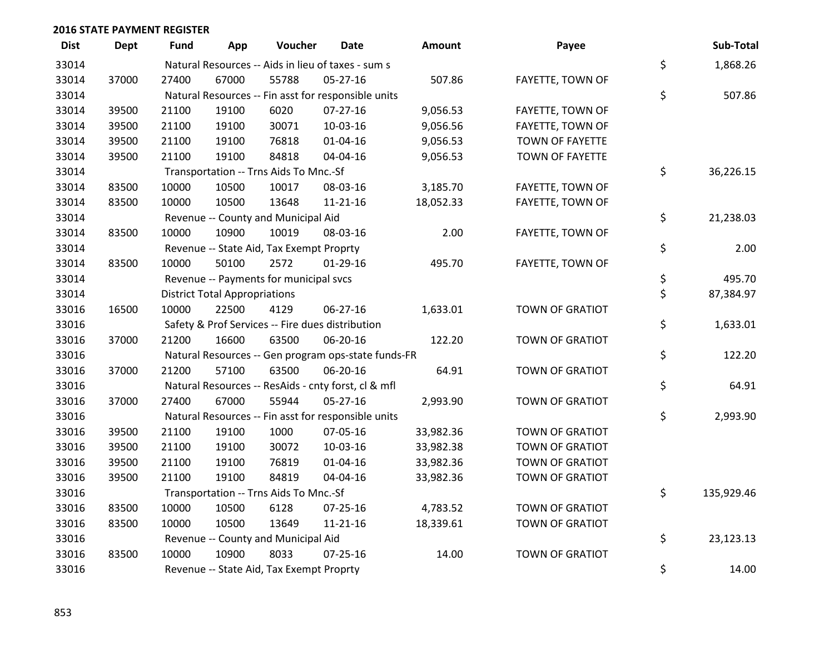| <b>Dist</b> | Dept  | <b>Fund</b> | App                                  | Voucher                                  | <b>Date</b>                                         | <b>Amount</b> | Payee                  | Sub-Total        |
|-------------|-------|-------------|--------------------------------------|------------------------------------------|-----------------------------------------------------|---------------|------------------------|------------------|
| 33014       |       |             |                                      |                                          | Natural Resources -- Aids in lieu of taxes - sum s  |               |                        | \$<br>1,868.26   |
| 33014       | 37000 | 27400       | 67000                                | 55788                                    | 05-27-16                                            | 507.86        | FAYETTE, TOWN OF       |                  |
| 33014       |       |             |                                      |                                          | Natural Resources -- Fin asst for responsible units |               |                        | \$<br>507.86     |
| 33014       | 39500 | 21100       | 19100                                | 6020                                     | $07 - 27 - 16$                                      | 9,056.53      | FAYETTE, TOWN OF       |                  |
| 33014       | 39500 | 21100       | 19100                                | 30071                                    | 10-03-16                                            | 9,056.56      | FAYETTE, TOWN OF       |                  |
| 33014       | 39500 | 21100       | 19100                                | 76818                                    | $01 - 04 - 16$                                      | 9,056.53      | <b>TOWN OF FAYETTE</b> |                  |
| 33014       | 39500 | 21100       | 19100                                | 84818                                    | 04-04-16                                            | 9,056.53      | TOWN OF FAYETTE        |                  |
| 33014       |       |             |                                      | Transportation -- Trns Aids To Mnc.-Sf   |                                                     |               |                        | \$<br>36,226.15  |
| 33014       | 83500 | 10000       | 10500                                | 10017                                    | 08-03-16                                            | 3,185.70      | FAYETTE, TOWN OF       |                  |
| 33014       | 83500 | 10000       | 10500                                | 13648                                    | $11 - 21 - 16$                                      | 18,052.33     | FAYETTE, TOWN OF       |                  |
| 33014       |       |             |                                      | Revenue -- County and Municipal Aid      |                                                     |               |                        | \$<br>21,238.03  |
| 33014       | 83500 | 10000       | 10900                                | 10019                                    | 08-03-16                                            | 2.00          | FAYETTE, TOWN OF       |                  |
| 33014       |       |             |                                      | Revenue -- State Aid, Tax Exempt Proprty |                                                     |               |                        | \$<br>2.00       |
| 33014       | 83500 | 10000       | 50100                                | 2572                                     | $01-29-16$                                          | 495.70        | FAYETTE, TOWN OF       |                  |
| 33014       |       |             |                                      | Revenue -- Payments for municipal svcs   |                                                     |               |                        | \$<br>495.70     |
| 33014       |       |             | <b>District Total Appropriations</b> |                                          |                                                     |               |                        | \$<br>87,384.97  |
| 33016       | 16500 | 10000       | 22500                                | 4129                                     | 06-27-16                                            | 1,633.01      | <b>TOWN OF GRATIOT</b> |                  |
| 33016       |       |             |                                      |                                          | Safety & Prof Services -- Fire dues distribution    |               |                        | \$<br>1,633.01   |
| 33016       | 37000 | 21200       | 16600                                | 63500                                    | 06-20-16                                            | 122.20        | <b>TOWN OF GRATIOT</b> |                  |
| 33016       |       |             |                                      |                                          | Natural Resources -- Gen program ops-state funds-FR |               |                        | \$<br>122.20     |
| 33016       | 37000 | 21200       | 57100                                | 63500                                    | 06-20-16                                            | 64.91         | <b>TOWN OF GRATIOT</b> |                  |
| 33016       |       |             |                                      |                                          | Natural Resources -- ResAids - cnty forst, cl & mfl |               |                        | \$<br>64.91      |
| 33016       | 37000 | 27400       | 67000                                | 55944                                    | $05 - 27 - 16$                                      | 2,993.90      | <b>TOWN OF GRATIOT</b> |                  |
| 33016       |       |             |                                      |                                          | Natural Resources -- Fin asst for responsible units |               |                        | \$<br>2,993.90   |
| 33016       | 39500 | 21100       | 19100                                | 1000                                     | 07-05-16                                            | 33,982.36     | <b>TOWN OF GRATIOT</b> |                  |
| 33016       | 39500 | 21100       | 19100                                | 30072                                    | 10-03-16                                            | 33,982.38     | <b>TOWN OF GRATIOT</b> |                  |
| 33016       | 39500 | 21100       | 19100                                | 76819                                    | $01 - 04 - 16$                                      | 33,982.36     | <b>TOWN OF GRATIOT</b> |                  |
| 33016       | 39500 | 21100       | 19100                                | 84819                                    | 04-04-16                                            | 33,982.36     | <b>TOWN OF GRATIOT</b> |                  |
| 33016       |       |             |                                      | Transportation -- Trns Aids To Mnc.-Sf   |                                                     |               |                        | \$<br>135,929.46 |
| 33016       | 83500 | 10000       | 10500                                | 6128                                     | 07-25-16                                            | 4,783.52      | <b>TOWN OF GRATIOT</b> |                  |
| 33016       | 83500 | 10000       | 10500                                | 13649                                    | $11 - 21 - 16$                                      | 18,339.61     | <b>TOWN OF GRATIOT</b> |                  |
| 33016       |       |             |                                      | Revenue -- County and Municipal Aid      |                                                     |               |                        | \$<br>23,123.13  |
| 33016       | 83500 | 10000       | 10900                                | 8033                                     | $07 - 25 - 16$                                      | 14.00         | <b>TOWN OF GRATIOT</b> |                  |
| 33016       |       |             |                                      | Revenue -- State Aid, Tax Exempt Proprty |                                                     |               |                        | \$<br>14.00      |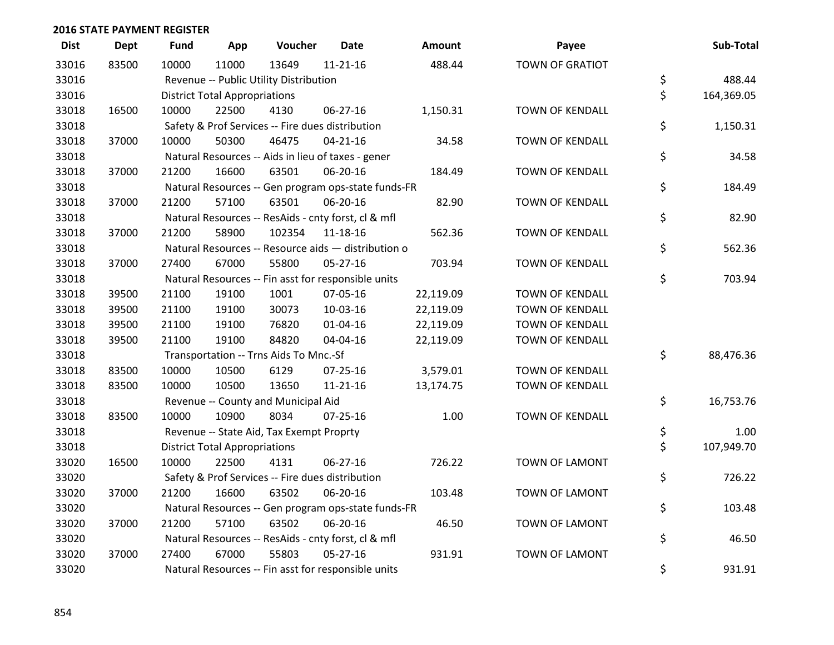| <b>Dist</b> | <b>Dept</b> | <b>Fund</b> | App                                  | Voucher                                          | Date                                                | <b>Amount</b> | Payee                  | Sub-Total        |
|-------------|-------------|-------------|--------------------------------------|--------------------------------------------------|-----------------------------------------------------|---------------|------------------------|------------------|
| 33016       | 83500       | 10000       | 11000                                | 13649                                            | $11 - 21 - 16$                                      | 488.44        | <b>TOWN OF GRATIOT</b> |                  |
| 33016       |             |             |                                      | Revenue -- Public Utility Distribution           |                                                     |               |                        | \$<br>488.44     |
| 33016       |             |             | <b>District Total Appropriations</b> |                                                  |                                                     |               |                        | \$<br>164,369.05 |
| 33018       | 16500       | 10000       | 22500                                | 4130                                             | 06-27-16                                            | 1,150.31      | TOWN OF KENDALL        |                  |
| 33018       |             |             |                                      | Safety & Prof Services -- Fire dues distribution |                                                     |               |                        | \$<br>1,150.31   |
| 33018       | 37000       | 10000       | 50300                                | 46475                                            | $04 - 21 - 16$                                      | 34.58         | <b>TOWN OF KENDALL</b> |                  |
| 33018       |             |             |                                      |                                                  | Natural Resources -- Aids in lieu of taxes - gener  |               |                        | \$<br>34.58      |
| 33018       | 37000       | 21200       | 16600                                | 63501                                            | 06-20-16                                            | 184.49        | <b>TOWN OF KENDALL</b> |                  |
| 33018       |             |             |                                      |                                                  | Natural Resources -- Gen program ops-state funds-FR |               |                        | \$<br>184.49     |
| 33018       | 37000       | 21200       | 57100                                | 63501                                            | 06-20-16                                            | 82.90         | <b>TOWN OF KENDALL</b> |                  |
| 33018       |             |             |                                      |                                                  | Natural Resources -- ResAids - cnty forst, cl & mfl |               |                        | \$<br>82.90      |
| 33018       | 37000       | 21200       | 58900                                | 102354                                           | 11-18-16                                            | 562.36        | <b>TOWN OF KENDALL</b> |                  |
| 33018       |             |             |                                      |                                                  | Natural Resources -- Resource aids - distribution o |               |                        | \$<br>562.36     |
| 33018       | 37000       | 27400       | 67000                                | 55800                                            | 05-27-16                                            | 703.94        | <b>TOWN OF KENDALL</b> |                  |
| 33018       |             |             |                                      |                                                  | Natural Resources -- Fin asst for responsible units |               |                        | \$<br>703.94     |
| 33018       | 39500       | 21100       | 19100                                | 1001                                             | 07-05-16                                            | 22,119.09     | <b>TOWN OF KENDALL</b> |                  |
| 33018       | 39500       | 21100       | 19100                                | 30073                                            | 10-03-16                                            | 22,119.09     | TOWN OF KENDALL        |                  |
| 33018       | 39500       | 21100       | 19100                                | 76820                                            | $01 - 04 - 16$                                      | 22,119.09     | <b>TOWN OF KENDALL</b> |                  |
| 33018       | 39500       | 21100       | 19100                                | 84820                                            | 04-04-16                                            | 22,119.09     | <b>TOWN OF KENDALL</b> |                  |
| 33018       |             |             |                                      | Transportation -- Trns Aids To Mnc.-Sf           |                                                     |               |                        | \$<br>88,476.36  |
| 33018       | 83500       | 10000       | 10500                                | 6129                                             | $07 - 25 - 16$                                      | 3,579.01      | <b>TOWN OF KENDALL</b> |                  |
| 33018       | 83500       | 10000       | 10500                                | 13650                                            | $11 - 21 - 16$                                      | 13,174.75     | TOWN OF KENDALL        |                  |
| 33018       |             |             |                                      | Revenue -- County and Municipal Aid              |                                                     |               |                        | \$<br>16,753.76  |
| 33018       | 83500       | 10000       | 10900                                | 8034                                             | $07 - 25 - 16$                                      | 1.00          | TOWN OF KENDALL        |                  |
| 33018       |             |             |                                      | Revenue -- State Aid, Tax Exempt Proprty         |                                                     |               |                        | \$<br>1.00       |
| 33018       |             |             | <b>District Total Appropriations</b> |                                                  |                                                     |               |                        | \$<br>107,949.70 |
| 33020       | 16500       | 10000       | 22500                                | 4131                                             | 06-27-16                                            | 726.22        | TOWN OF LAMONT         |                  |
| 33020       |             |             |                                      | Safety & Prof Services -- Fire dues distribution |                                                     |               |                        | \$<br>726.22     |
| 33020       | 37000       | 21200       | 16600                                | 63502                                            | 06-20-16                                            | 103.48        | TOWN OF LAMONT         |                  |
| 33020       |             |             |                                      |                                                  | Natural Resources -- Gen program ops-state funds-FR |               |                        | \$<br>103.48     |
| 33020       | 37000       | 21200       | 57100                                | 63502                                            | 06-20-16                                            | 46.50         | TOWN OF LAMONT         |                  |
| 33020       |             |             |                                      |                                                  | Natural Resources -- ResAids - cnty forst, cl & mfl |               |                        | \$<br>46.50      |
| 33020       | 37000       | 27400       | 67000                                | 55803                                            | $05 - 27 - 16$                                      | 931.91        | <b>TOWN OF LAMONT</b>  |                  |
| 33020       |             |             |                                      |                                                  | Natural Resources -- Fin asst for responsible units |               |                        | \$<br>931.91     |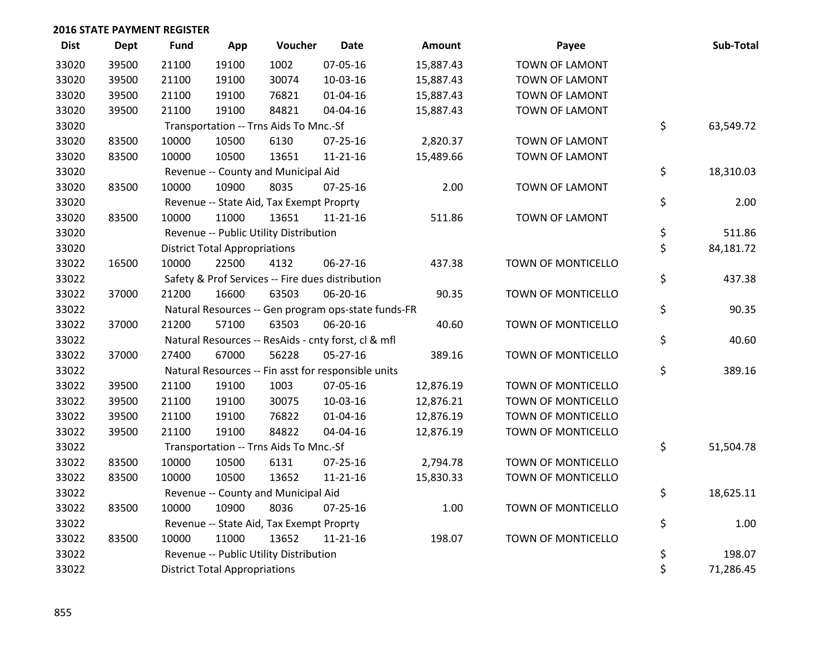| <b>Dist</b> | <b>Dept</b> | <b>Fund</b> | App                                  | Voucher                                  | Date                                                | <b>Amount</b> | Payee                 | Sub-Total       |
|-------------|-------------|-------------|--------------------------------------|------------------------------------------|-----------------------------------------------------|---------------|-----------------------|-----------------|
| 33020       | 39500       | 21100       | 19100                                | 1002                                     | 07-05-16                                            | 15,887.43     | <b>TOWN OF LAMONT</b> |                 |
| 33020       | 39500       | 21100       | 19100                                | 30074                                    | 10-03-16                                            | 15,887.43     | TOWN OF LAMONT        |                 |
| 33020       | 39500       | 21100       | 19100                                | 76821                                    | $01 - 04 - 16$                                      | 15,887.43     | TOWN OF LAMONT        |                 |
| 33020       | 39500       | 21100       | 19100                                | 84821                                    | 04-04-16                                            | 15,887.43     | TOWN OF LAMONT        |                 |
| 33020       |             |             |                                      | Transportation -- Trns Aids To Mnc.-Sf   |                                                     |               |                       | \$<br>63,549.72 |
| 33020       | 83500       | 10000       | 10500                                | 6130                                     | $07 - 25 - 16$                                      | 2,820.37      | TOWN OF LAMONT        |                 |
| 33020       | 83500       | 10000       | 10500                                | 13651                                    | $11 - 21 - 16$                                      | 15,489.66     | TOWN OF LAMONT        |                 |
| 33020       |             |             |                                      | Revenue -- County and Municipal Aid      |                                                     |               |                       | \$<br>18,310.03 |
| 33020       | 83500       | 10000       | 10900                                | 8035                                     | 07-25-16                                            | 2.00          | TOWN OF LAMONT        |                 |
| 33020       |             |             |                                      | Revenue -- State Aid, Tax Exempt Proprty |                                                     |               |                       | \$<br>2.00      |
| 33020       | 83500       | 10000       | 11000                                | 13651                                    | $11 - 21 - 16$                                      | 511.86        | TOWN OF LAMONT        |                 |
| 33020       |             |             |                                      | Revenue -- Public Utility Distribution   |                                                     |               |                       | \$<br>511.86    |
| 33020       |             |             | <b>District Total Appropriations</b> |                                          |                                                     |               |                       | \$<br>84,181.72 |
| 33022       | 16500       | 10000       | 22500                                | 4132                                     | 06-27-16                                            | 437.38        | TOWN OF MONTICELLO    |                 |
| 33022       |             |             |                                      |                                          | Safety & Prof Services -- Fire dues distribution    |               |                       | \$<br>437.38    |
| 33022       | 37000       | 21200       | 16600                                | 63503                                    | 06-20-16                                            | 90.35         | TOWN OF MONTICELLO    |                 |
| 33022       |             |             |                                      |                                          | Natural Resources -- Gen program ops-state funds-FR |               |                       | \$<br>90.35     |
| 33022       | 37000       | 21200       | 57100                                | 63503                                    | 06-20-16                                            | 40.60         | TOWN OF MONTICELLO    |                 |
| 33022       |             |             |                                      |                                          | Natural Resources -- ResAids - cnty forst, cl & mfl |               |                       | \$<br>40.60     |
| 33022       | 37000       | 27400       | 67000                                | 56228                                    | $05 - 27 - 16$                                      | 389.16        | TOWN OF MONTICELLO    |                 |
| 33022       |             |             |                                      |                                          | Natural Resources -- Fin asst for responsible units |               |                       | \$<br>389.16    |
| 33022       | 39500       | 21100       | 19100                                | 1003                                     | 07-05-16                                            | 12,876.19     | TOWN OF MONTICELLO    |                 |
| 33022       | 39500       | 21100       | 19100                                | 30075                                    | 10-03-16                                            | 12,876.21     | TOWN OF MONTICELLO    |                 |
| 33022       | 39500       | 21100       | 19100                                | 76822                                    | $01 - 04 - 16$                                      | 12,876.19     | TOWN OF MONTICELLO    |                 |
| 33022       | 39500       | 21100       | 19100                                | 84822                                    | 04-04-16                                            | 12,876.19     | TOWN OF MONTICELLO    |                 |
| 33022       |             |             |                                      | Transportation -- Trns Aids To Mnc.-Sf   |                                                     |               |                       | \$<br>51,504.78 |
| 33022       | 83500       | 10000       | 10500                                | 6131                                     | 07-25-16                                            | 2,794.78      | TOWN OF MONTICELLO    |                 |
| 33022       | 83500       | 10000       | 10500                                | 13652                                    | $11 - 21 - 16$                                      | 15,830.33     | TOWN OF MONTICELLO    |                 |
| 33022       |             |             |                                      | Revenue -- County and Municipal Aid      |                                                     |               |                       | \$<br>18,625.11 |
| 33022       | 83500       | 10000       | 10900                                | 8036                                     | $07 - 25 - 16$                                      | 1.00          | TOWN OF MONTICELLO    |                 |
| 33022       |             |             |                                      | Revenue -- State Aid, Tax Exempt Proprty |                                                     |               |                       | \$<br>1.00      |
| 33022       | 83500       | 10000       | 11000                                | 13652                                    | $11 - 21 - 16$                                      | 198.07        | TOWN OF MONTICELLO    |                 |
| 33022       |             |             |                                      | Revenue -- Public Utility Distribution   |                                                     |               |                       | \$<br>198.07    |
| 33022       |             |             | <b>District Total Appropriations</b> |                                          |                                                     |               |                       | \$<br>71,286.45 |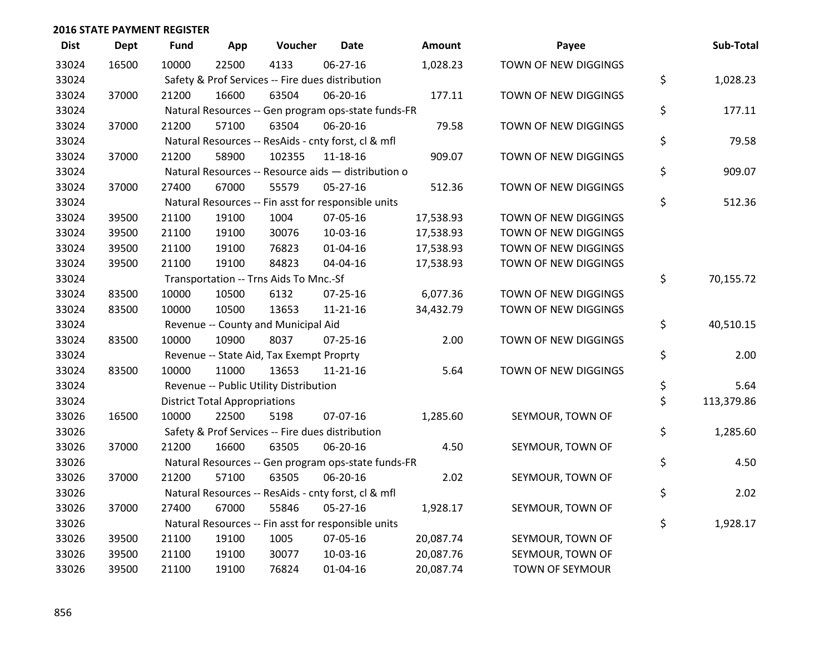| <b>Dist</b> | <b>Dept</b> | <b>Fund</b> | App                                                 | Voucher                                             | Date           | <b>Amount</b> | Payee                |    | Sub-Total  |  |
|-------------|-------------|-------------|-----------------------------------------------------|-----------------------------------------------------|----------------|---------------|----------------------|----|------------|--|
| 33024       | 16500       | 10000       | 22500                                               | 4133                                                | 06-27-16       | 1,028.23      | TOWN OF NEW DIGGINGS |    |            |  |
| 33024       |             |             |                                                     | Safety & Prof Services -- Fire dues distribution    |                |               |                      | \$ | 1,028.23   |  |
| 33024       | 37000       | 21200       | 16600                                               | 63504                                               | 06-20-16       | 177.11        | TOWN OF NEW DIGGINGS |    |            |  |
| 33024       |             |             |                                                     | Natural Resources -- Gen program ops-state funds-FR |                |               |                      | \$ | 177.11     |  |
| 33024       | 37000       | 21200       | 57100                                               | 63504                                               | 06-20-16       | 79.58         | TOWN OF NEW DIGGINGS |    |            |  |
| 33024       |             |             |                                                     | Natural Resources -- ResAids - cnty forst, cl & mfl |                |               |                      | \$ | 79.58      |  |
| 33024       | 37000       | 21200       | 58900                                               | 102355                                              | 11-18-16       | 909.07        | TOWN OF NEW DIGGINGS |    |            |  |
| 33024       |             |             |                                                     | Natural Resources -- Resource aids - distribution o |                |               |                      | \$ | 909.07     |  |
| 33024       | 37000       | 27400       | 67000                                               | 55579                                               | $05 - 27 - 16$ | 512.36        | TOWN OF NEW DIGGINGS |    |            |  |
| 33024       |             |             |                                                     | Natural Resources -- Fin asst for responsible units |                |               |                      | \$ | 512.36     |  |
| 33024       | 39500       | 21100       | 19100                                               | 1004                                                | 07-05-16       | 17,538.93     | TOWN OF NEW DIGGINGS |    |            |  |
| 33024       | 39500       | 21100       | 19100                                               | 30076                                               | 10-03-16       | 17,538.93     | TOWN OF NEW DIGGINGS |    |            |  |
| 33024       | 39500       | 21100       | 19100                                               | 76823                                               | $01 - 04 - 16$ | 17,538.93     | TOWN OF NEW DIGGINGS |    |            |  |
| 33024       | 39500       | 21100       | 19100                                               | 84823                                               | 04-04-16       | 17,538.93     | TOWN OF NEW DIGGINGS |    |            |  |
| 33024       |             |             | Transportation -- Trns Aids To Mnc.-Sf              |                                                     |                |               |                      |    |            |  |
| 33024       | 83500       | 10000       | 10500                                               | 6132                                                | $07 - 25 - 16$ | 6,077.36      | TOWN OF NEW DIGGINGS |    |            |  |
| 33024       | 83500       | 10000       | 10500                                               | 13653                                               | 11-21-16       | 34,432.79     | TOWN OF NEW DIGGINGS |    |            |  |
| 33024       |             |             |                                                     | Revenue -- County and Municipal Aid                 |                |               |                      | \$ | 40,510.15  |  |
| 33024       | 83500       | 10000       | 10900                                               | 8037                                                | 07-25-16       | 2.00          | TOWN OF NEW DIGGINGS |    |            |  |
| 33024       |             |             |                                                     | Revenue -- State Aid, Tax Exempt Proprty            |                |               |                      | \$ | 2.00       |  |
| 33024       | 83500       | 10000       | 11000                                               | 13653                                               | $11 - 21 - 16$ | 5.64          | TOWN OF NEW DIGGINGS |    |            |  |
| 33024       |             |             |                                                     | Revenue -- Public Utility Distribution              |                |               |                      | \$ | 5.64       |  |
| 33024       |             |             | <b>District Total Appropriations</b>                |                                                     |                |               |                      | \$ | 113,379.86 |  |
| 33026       | 16500       | 10000       | 22500                                               | 5198                                                | 07-07-16       | 1,285.60      | SEYMOUR, TOWN OF     |    |            |  |
| 33026       |             |             |                                                     | Safety & Prof Services -- Fire dues distribution    |                |               |                      | \$ | 1,285.60   |  |
| 33026       | 37000       | 21200       | 16600                                               | 63505                                               | 06-20-16       | 4.50          | SEYMOUR, TOWN OF     |    |            |  |
| 33026       |             |             |                                                     | Natural Resources -- Gen program ops-state funds-FR |                |               |                      | \$ | 4.50       |  |
| 33026       | 37000       | 21200       | 57100                                               | 63505                                               | 06-20-16       | 2.02          | SEYMOUR, TOWN OF     |    |            |  |
| 33026       |             |             |                                                     | Natural Resources -- ResAids - cnty forst, cl & mfl |                |               |                      | \$ | 2.02       |  |
| 33026       | 37000       | 27400       | 67000                                               | 55846                                               | $05 - 27 - 16$ | 1,928.17      | SEYMOUR, TOWN OF     |    |            |  |
| 33026       |             |             | Natural Resources -- Fin asst for responsible units |                                                     |                |               |                      |    |            |  |
| 33026       | 39500       | 21100       | 19100                                               | 1005                                                | 07-05-16       | 20,087.74     | SEYMOUR, TOWN OF     |    |            |  |
| 33026       | 39500       | 21100       | 19100                                               | 30077                                               | 10-03-16       | 20,087.76     | SEYMOUR, TOWN OF     |    |            |  |
| 33026       | 39500       | 21100       | 19100                                               | 76824                                               | 01-04-16       | 20,087.74     | TOWN OF SEYMOUR      |    |            |  |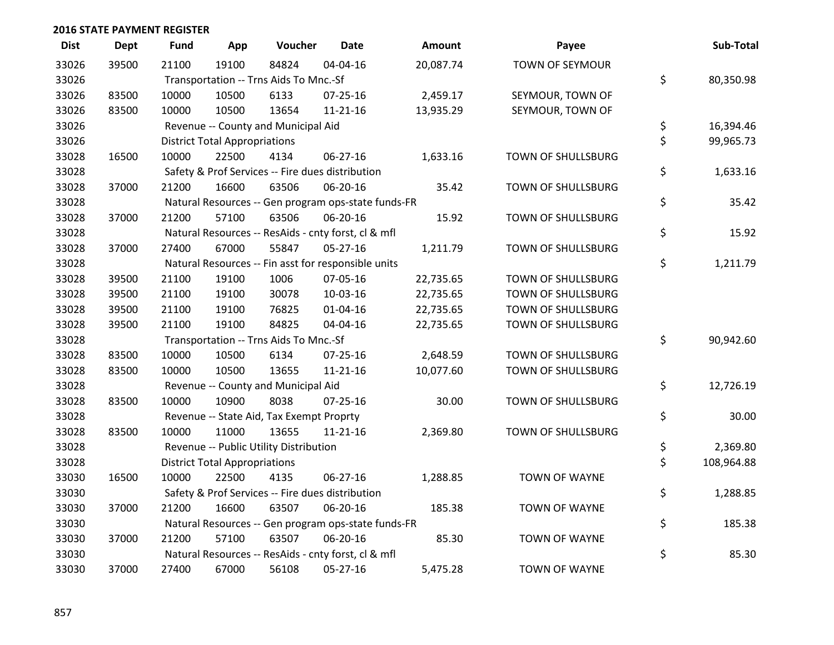| <b>Dist</b> | <b>Dept</b> | <b>Fund</b> | App                                  | Voucher                                             | <b>Date</b>    | <b>Amount</b> | Payee                     | Sub-Total        |
|-------------|-------------|-------------|--------------------------------------|-----------------------------------------------------|----------------|---------------|---------------------------|------------------|
| 33026       | 39500       | 21100       | 19100                                | 84824                                               | 04-04-16       | 20,087.74     | <b>TOWN OF SEYMOUR</b>    |                  |
| 33026       |             |             |                                      | Transportation -- Trns Aids To Mnc.-Sf              |                |               |                           | \$<br>80,350.98  |
| 33026       | 83500       | 10000       | 10500                                | 6133                                                | $07 - 25 - 16$ | 2,459.17      | SEYMOUR, TOWN OF          |                  |
| 33026       | 83500       | 10000       | 10500                                | 13654                                               | $11 - 21 - 16$ | 13,935.29     | SEYMOUR, TOWN OF          |                  |
| 33026       |             |             |                                      | Revenue -- County and Municipal Aid                 |                |               |                           | \$<br>16,394.46  |
| 33026       |             |             | <b>District Total Appropriations</b> |                                                     |                |               |                           | \$<br>99,965.73  |
| 33028       | 16500       | 10000       | 22500                                | 4134                                                | 06-27-16       | 1,633.16      | TOWN OF SHULLSBURG        |                  |
| 33028       |             |             |                                      | Safety & Prof Services -- Fire dues distribution    |                |               |                           | \$<br>1,633.16   |
| 33028       | 37000       | 21200       | 16600                                | 63506                                               | 06-20-16       | 35.42         | TOWN OF SHULLSBURG        |                  |
| 33028       |             |             |                                      | Natural Resources -- Gen program ops-state funds-FR |                |               |                           | \$<br>35.42      |
| 33028       | 37000       | 21200       | 57100                                | 63506                                               | 06-20-16       | 15.92         | TOWN OF SHULLSBURG        |                  |
| 33028       |             |             |                                      | Natural Resources -- ResAids - cnty forst, cl & mfl |                |               |                           | \$<br>15.92      |
| 33028       | 37000       | 27400       | 67000                                | 55847                                               | $05 - 27 - 16$ | 1,211.79      | TOWN OF SHULLSBURG        |                  |
| 33028       |             |             |                                      | Natural Resources -- Fin asst for responsible units |                |               |                           | \$<br>1,211.79   |
| 33028       | 39500       | 21100       | 19100                                | 1006                                                | 07-05-16       | 22,735.65     | TOWN OF SHULLSBURG        |                  |
| 33028       | 39500       | 21100       | 19100                                | 30078                                               | 10-03-16       | 22,735.65     | TOWN OF SHULLSBURG        |                  |
| 33028       | 39500       | 21100       | 19100                                | 76825                                               | $01 - 04 - 16$ | 22,735.65     | TOWN OF SHULLSBURG        |                  |
| 33028       | 39500       | 21100       | 19100                                | 84825                                               | 04-04-16       | 22,735.65     | TOWN OF SHULLSBURG        |                  |
| 33028       |             |             |                                      | Transportation -- Trns Aids To Mnc.-Sf              |                |               |                           | \$<br>90,942.60  |
| 33028       | 83500       | 10000       | 10500                                | 6134                                                | $07 - 25 - 16$ | 2,648.59      | TOWN OF SHULLSBURG        |                  |
| 33028       | 83500       | 10000       | 10500                                | 13655                                               | $11 - 21 - 16$ | 10,077.60     | TOWN OF SHULLSBURG        |                  |
| 33028       |             |             |                                      | Revenue -- County and Municipal Aid                 |                |               |                           | \$<br>12,726.19  |
| 33028       | 83500       | 10000       | 10900                                | 8038                                                | $07 - 25 - 16$ | 30.00         | <b>TOWN OF SHULLSBURG</b> |                  |
| 33028       |             |             |                                      | Revenue -- State Aid, Tax Exempt Proprty            |                |               |                           | \$<br>30.00      |
| 33028       | 83500       | 10000       | 11000                                | 13655                                               | $11 - 21 - 16$ | 2,369.80      | TOWN OF SHULLSBURG        |                  |
| 33028       |             |             |                                      | Revenue -- Public Utility Distribution              |                |               |                           | \$<br>2,369.80   |
| 33028       |             |             | <b>District Total Appropriations</b> |                                                     |                |               |                           | \$<br>108,964.88 |
| 33030       | 16500       | 10000       | 22500                                | 4135                                                | 06-27-16       | 1,288.85      | <b>TOWN OF WAYNE</b>      |                  |
| 33030       |             |             |                                      | Safety & Prof Services -- Fire dues distribution    |                |               |                           | \$<br>1,288.85   |
| 33030       | 37000       | 21200       | 16600                                | 63507                                               | 06-20-16       | 185.38        | <b>TOWN OF WAYNE</b>      |                  |
| 33030       |             |             |                                      | Natural Resources -- Gen program ops-state funds-FR |                |               |                           | \$<br>185.38     |
| 33030       | 37000       | 21200       | 57100                                | 63507                                               | 06-20-16       | 85.30         | <b>TOWN OF WAYNE</b>      |                  |
| 33030       |             |             |                                      | Natural Resources -- ResAids - cnty forst, cl & mfl |                |               |                           | \$<br>85.30      |
| 33030       | 37000       | 27400       | 67000                                | 56108                                               | 05-27-16       | 5,475.28      | <b>TOWN OF WAYNE</b>      |                  |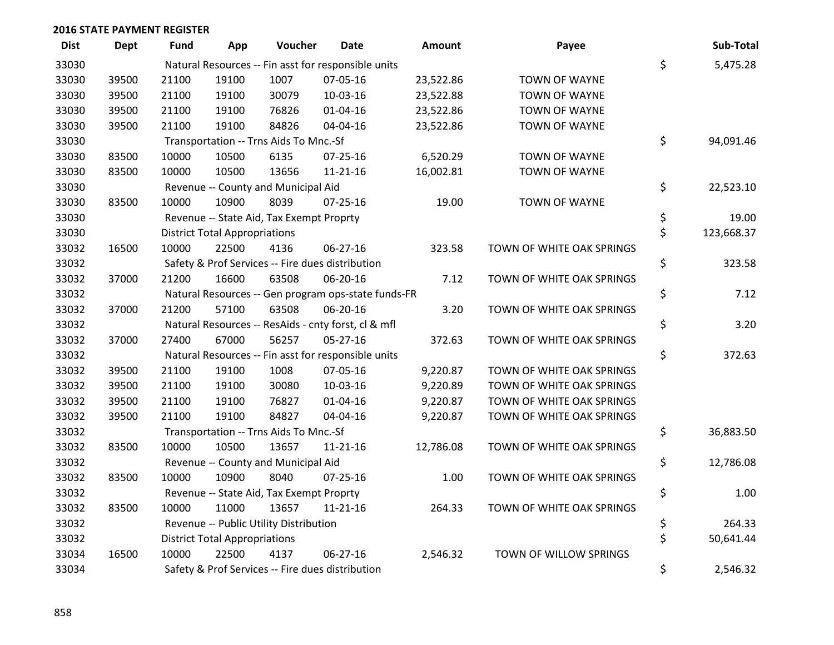| <b>Dist</b> | <b>Dept</b> | Fund  | App                                              | Voucher                                             | Date           | <b>Amount</b> | Payee                     | Sub-Total        |
|-------------|-------------|-------|--------------------------------------------------|-----------------------------------------------------|----------------|---------------|---------------------------|------------------|
| 33030       |             |       |                                                  | Natural Resources -- Fin asst for responsible units |                |               |                           | \$<br>5,475.28   |
| 33030       | 39500       | 21100 | 19100                                            | 1007                                                | 07-05-16       | 23,522.86     | <b>TOWN OF WAYNE</b>      |                  |
| 33030       | 39500       | 21100 | 19100                                            | 30079                                               | 10-03-16       | 23,522.88     | <b>TOWN OF WAYNE</b>      |                  |
| 33030       | 39500       | 21100 | 19100                                            | 76826                                               | $01 - 04 - 16$ | 23,522.86     | TOWN OF WAYNE             |                  |
| 33030       | 39500       | 21100 | 19100                                            | 84826                                               | 04-04-16       | 23,522.86     | <b>TOWN OF WAYNE</b>      |                  |
| 33030       |             |       |                                                  | Transportation -- Trns Aids To Mnc.-Sf              |                |               |                           | \$<br>94,091.46  |
| 33030       | 83500       | 10000 | 10500                                            | 6135                                                | $07 - 25 - 16$ | 6,520.29      | <b>TOWN OF WAYNE</b>      |                  |
| 33030       | 83500       | 10000 | 10500                                            | 13656                                               | $11 - 21 - 16$ | 16,002.81     | <b>TOWN OF WAYNE</b>      |                  |
| 33030       |             |       |                                                  | Revenue -- County and Municipal Aid                 |                |               |                           | \$<br>22,523.10  |
| 33030       | 83500       | 10000 | 10900                                            | 8039                                                | $07 - 25 - 16$ | 19.00         | <b>TOWN OF WAYNE</b>      |                  |
| 33030       |             |       |                                                  | Revenue -- State Aid, Tax Exempt Proprty            |                |               |                           | \$<br>19.00      |
| 33030       |             |       | <b>District Total Appropriations</b>             |                                                     |                |               |                           | \$<br>123,668.37 |
| 33032       | 16500       | 10000 | 22500                                            | 4136                                                | 06-27-16       | 323.58        | TOWN OF WHITE OAK SPRINGS |                  |
| 33032       |             |       |                                                  | Safety & Prof Services -- Fire dues distribution    |                |               |                           | \$<br>323.58     |
| 33032       | 37000       | 21200 | 16600                                            | 63508                                               | 06-20-16       | 7.12          | TOWN OF WHITE OAK SPRINGS |                  |
| 33032       |             |       |                                                  | Natural Resources -- Gen program ops-state funds-FR |                |               |                           | \$<br>7.12       |
| 33032       | 37000       | 21200 | 57100                                            | 63508                                               | 06-20-16       | 3.20          | TOWN OF WHITE OAK SPRINGS |                  |
| 33032       |             |       |                                                  | Natural Resources -- ResAids - cnty forst, cl & mfl |                |               |                           | \$<br>3.20       |
| 33032       | 37000       | 27400 | 67000                                            | 56257                                               | $05 - 27 - 16$ | 372.63        | TOWN OF WHITE OAK SPRINGS |                  |
| 33032       |             |       |                                                  | Natural Resources -- Fin asst for responsible units |                |               |                           | \$<br>372.63     |
| 33032       | 39500       | 21100 | 19100                                            | 1008                                                | 07-05-16       | 9,220.87      | TOWN OF WHITE OAK SPRINGS |                  |
| 33032       | 39500       | 21100 | 19100                                            | 30080                                               | 10-03-16       | 9,220.89      | TOWN OF WHITE OAK SPRINGS |                  |
| 33032       | 39500       | 21100 | 19100                                            | 76827                                               | $01 - 04 - 16$ | 9,220.87      | TOWN OF WHITE OAK SPRINGS |                  |
| 33032       | 39500       | 21100 | 19100                                            | 84827                                               | 04-04-16       | 9,220.87      | TOWN OF WHITE OAK SPRINGS |                  |
| 33032       |             |       |                                                  | Transportation -- Trns Aids To Mnc.-Sf              |                |               |                           | \$<br>36,883.50  |
| 33032       | 83500       | 10000 | 10500                                            | 13657                                               | $11 - 21 - 16$ | 12,786.08     | TOWN OF WHITE OAK SPRINGS |                  |
| 33032       |             |       |                                                  | Revenue -- County and Municipal Aid                 |                |               |                           | \$<br>12,786.08  |
| 33032       | 83500       | 10000 | 10900                                            | 8040                                                | $07 - 25 - 16$ | 1.00          | TOWN OF WHITE OAK SPRINGS |                  |
| 33032       |             |       |                                                  | Revenue -- State Aid, Tax Exempt Proprty            |                |               |                           | \$<br>1.00       |
| 33032       | 83500       | 10000 | 11000                                            | 13657                                               | 11-21-16       | 264.33        | TOWN OF WHITE OAK SPRINGS |                  |
| 33032       |             |       |                                                  | Revenue -- Public Utility Distribution              |                |               |                           | \$<br>264.33     |
| 33032       |             |       | <b>District Total Appropriations</b>             |                                                     |                |               |                           | \$<br>50,641.44  |
| 33034       | 16500       | 10000 | 22500                                            | 4137                                                | 06-27-16       | 2,546.32      | TOWN OF WILLOW SPRINGS    |                  |
| 33034       |             |       | Safety & Prof Services -- Fire dues distribution | \$<br>2,546.32                                      |                |               |                           |                  |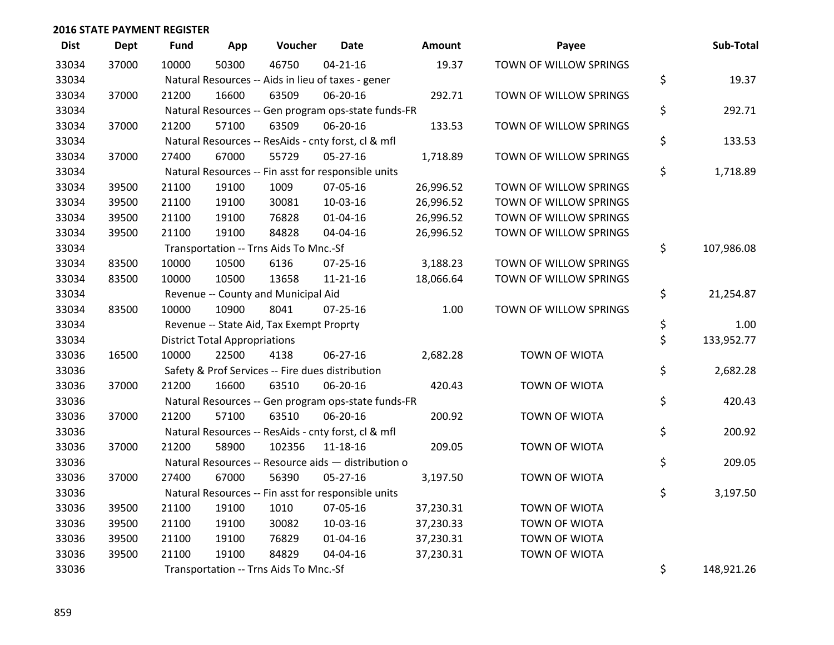| <b>Dist</b> | <b>Dept</b> | <b>Fund</b> | App                                  | Voucher                                             | <b>Date</b>    | <b>Amount</b> | Payee                  | Sub-Total        |
|-------------|-------------|-------------|--------------------------------------|-----------------------------------------------------|----------------|---------------|------------------------|------------------|
| 33034       | 37000       | 10000       | 50300                                | 46750                                               | $04 - 21 - 16$ | 19.37         | TOWN OF WILLOW SPRINGS |                  |
| 33034       |             |             |                                      | Natural Resources -- Aids in lieu of taxes - gener  |                |               |                        | \$<br>19.37      |
| 33034       | 37000       | 21200       | 16600                                | 63509                                               | 06-20-16       | 292.71        | TOWN OF WILLOW SPRINGS |                  |
| 33034       |             |             |                                      | Natural Resources -- Gen program ops-state funds-FR |                |               |                        | \$<br>292.71     |
| 33034       | 37000       | 21200       | 57100                                | 63509                                               | 06-20-16       | 133.53        | TOWN OF WILLOW SPRINGS |                  |
| 33034       |             |             |                                      | Natural Resources -- ResAids - cnty forst, cl & mfl |                |               |                        | \$<br>133.53     |
| 33034       | 37000       | 27400       | 67000                                | 55729                                               | 05-27-16       | 1,718.89      | TOWN OF WILLOW SPRINGS |                  |
| 33034       |             |             |                                      | Natural Resources -- Fin asst for responsible units |                |               |                        | \$<br>1,718.89   |
| 33034       | 39500       | 21100       | 19100                                | 1009                                                | 07-05-16       | 26,996.52     | TOWN OF WILLOW SPRINGS |                  |
| 33034       | 39500       | 21100       | 19100                                | 30081                                               | 10-03-16       | 26,996.52     | TOWN OF WILLOW SPRINGS |                  |
| 33034       | 39500       | 21100       | 19100                                | 76828                                               | $01 - 04 - 16$ | 26,996.52     | TOWN OF WILLOW SPRINGS |                  |
| 33034       | 39500       | 21100       | 19100                                | 84828                                               | 04-04-16       | 26,996.52     | TOWN OF WILLOW SPRINGS |                  |
| 33034       |             |             |                                      | Transportation -- Trns Aids To Mnc.-Sf              |                |               |                        | \$<br>107,986.08 |
| 33034       | 83500       | 10000       | 10500                                | 6136                                                | 07-25-16       | 3,188.23      | TOWN OF WILLOW SPRINGS |                  |
| 33034       | 83500       | 10000       | 10500                                | 13658                                               | $11 - 21 - 16$ | 18,066.64     | TOWN OF WILLOW SPRINGS |                  |
| 33034       |             |             |                                      | Revenue -- County and Municipal Aid                 |                |               |                        | \$<br>21,254.87  |
| 33034       | 83500       | 10000       | 10900                                | 8041                                                | $07 - 25 - 16$ | 1.00          | TOWN OF WILLOW SPRINGS |                  |
| 33034       |             |             |                                      | Revenue -- State Aid, Tax Exempt Proprty            |                |               |                        | \$<br>1.00       |
| 33034       |             |             | <b>District Total Appropriations</b> |                                                     |                |               |                        | \$<br>133,952.77 |
| 33036       | 16500       | 10000       | 22500                                | 4138                                                | 06-27-16       | 2,682.28      | TOWN OF WIOTA          |                  |
| 33036       |             |             |                                      | Safety & Prof Services -- Fire dues distribution    |                |               |                        | \$<br>2,682.28   |
| 33036       | 37000       | 21200       | 16600                                | 63510                                               | 06-20-16       | 420.43        | TOWN OF WIOTA          |                  |
| 33036       |             |             |                                      | Natural Resources -- Gen program ops-state funds-FR |                |               |                        | \$<br>420.43     |
| 33036       | 37000       | 21200       | 57100                                | 63510                                               | 06-20-16       | 200.92        | TOWN OF WIOTA          |                  |
| 33036       |             |             |                                      | Natural Resources -- ResAids - cnty forst, cl & mfl |                |               |                        | \$<br>200.92     |
| 33036       | 37000       | 21200       | 58900                                | 102356                                              | $11 - 18 - 16$ | 209.05        | TOWN OF WIOTA          |                  |
| 33036       |             |             |                                      | Natural Resources -- Resource aids - distribution o |                |               |                        | \$<br>209.05     |
| 33036       | 37000       | 27400       | 67000                                | 56390                                               | 05-27-16       | 3,197.50      | TOWN OF WIOTA          |                  |
| 33036       |             |             |                                      | Natural Resources -- Fin asst for responsible units |                |               |                        | \$<br>3,197.50   |
| 33036       | 39500       | 21100       | 19100                                | 1010                                                | 07-05-16       | 37,230.31     | TOWN OF WIOTA          |                  |
| 33036       | 39500       | 21100       | 19100                                | 30082                                               | 10-03-16       | 37,230.33     | TOWN OF WIOTA          |                  |
| 33036       | 39500       | 21100       | 19100                                | 76829                                               | $01 - 04 - 16$ | 37,230.31     | TOWN OF WIOTA          |                  |
| 33036       | 39500       | 21100       | 19100                                | 84829                                               | 04-04-16       | 37,230.31     | TOWN OF WIOTA          |                  |
| 33036       |             |             |                                      | Transportation -- Trns Aids To Mnc.-Sf              |                |               |                        | \$<br>148,921.26 |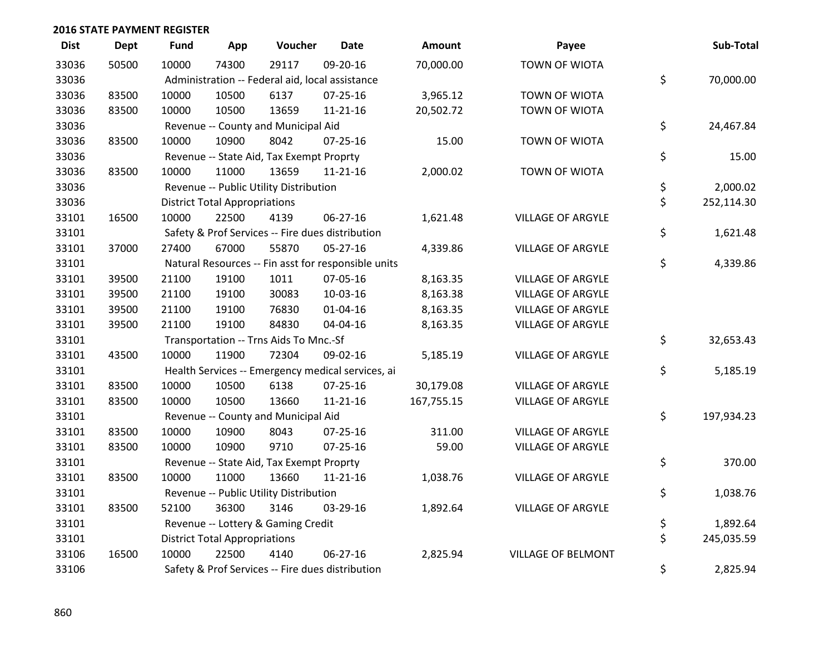| <b>Dist</b> | <b>Dept</b> | <b>Fund</b> | App                                  | Voucher                                             | <b>Date</b>    | Amount     | Payee                     | Sub-Total        |
|-------------|-------------|-------------|--------------------------------------|-----------------------------------------------------|----------------|------------|---------------------------|------------------|
| 33036       | 50500       | 10000       | 74300                                | 29117                                               | 09-20-16       | 70,000.00  | TOWN OF WIOTA             |                  |
| 33036       |             |             |                                      | Administration -- Federal aid, local assistance     |                |            |                           | \$<br>70,000.00  |
| 33036       | 83500       | 10000       | 10500                                | 6137                                                | $07 - 25 - 16$ | 3,965.12   | TOWN OF WIOTA             |                  |
| 33036       | 83500       | 10000       | 10500                                | 13659                                               | $11 - 21 - 16$ | 20,502.72  | TOWN OF WIOTA             |                  |
| 33036       |             |             |                                      | Revenue -- County and Municipal Aid                 |                |            |                           | \$<br>24,467.84  |
| 33036       | 83500       | 10000       | 10900                                | 8042                                                | $07 - 25 - 16$ | 15.00      | TOWN OF WIOTA             |                  |
| 33036       |             |             |                                      | Revenue -- State Aid, Tax Exempt Proprty            |                |            |                           | \$<br>15.00      |
| 33036       | 83500       | 10000       | 11000                                | 13659                                               | $11 - 21 - 16$ | 2,000.02   | TOWN OF WIOTA             |                  |
| 33036       |             |             |                                      | Revenue -- Public Utility Distribution              |                |            |                           | \$<br>2,000.02   |
| 33036       |             |             | <b>District Total Appropriations</b> |                                                     |                |            |                           | \$<br>252,114.30 |
| 33101       | 16500       | 10000       | 22500                                | 4139                                                | 06-27-16       | 1,621.48   | <b>VILLAGE OF ARGYLE</b>  |                  |
| 33101       |             |             |                                      | Safety & Prof Services -- Fire dues distribution    |                |            |                           | \$<br>1,621.48   |
| 33101       | 37000       | 27400       | 67000                                | 55870                                               | 05-27-16       | 4,339.86   | <b>VILLAGE OF ARGYLE</b>  |                  |
| 33101       |             |             |                                      | Natural Resources -- Fin asst for responsible units |                |            |                           | \$<br>4,339.86   |
| 33101       | 39500       | 21100       | 19100                                | 1011                                                | 07-05-16       | 8,163.35   | VILLAGE OF ARGYLE         |                  |
| 33101       | 39500       | 21100       | 19100                                | 30083                                               | 10-03-16       | 8,163.38   | <b>VILLAGE OF ARGYLE</b>  |                  |
| 33101       | 39500       | 21100       | 19100                                | 76830                                               | $01 - 04 - 16$ | 8,163.35   | <b>VILLAGE OF ARGYLE</b>  |                  |
| 33101       | 39500       | 21100       | 19100                                | 84830                                               | 04-04-16       | 8,163.35   | <b>VILLAGE OF ARGYLE</b>  |                  |
| 33101       |             |             |                                      | Transportation -- Trns Aids To Mnc.-Sf              |                |            |                           | \$<br>32,653.43  |
| 33101       | 43500       | 10000       | 11900                                | 72304                                               | 09-02-16       | 5,185.19   | <b>VILLAGE OF ARGYLE</b>  |                  |
| 33101       |             |             |                                      | Health Services -- Emergency medical services, ai   |                |            |                           | \$<br>5,185.19   |
| 33101       | 83500       | 10000       | 10500                                | 6138                                                | $07 - 25 - 16$ | 30,179.08  | <b>VILLAGE OF ARGYLE</b>  |                  |
| 33101       | 83500       | 10000       | 10500                                | 13660                                               | $11 - 21 - 16$ | 167,755.15 | <b>VILLAGE OF ARGYLE</b>  |                  |
| 33101       |             |             |                                      | Revenue -- County and Municipal Aid                 |                |            |                           | \$<br>197,934.23 |
| 33101       | 83500       | 10000       | 10900                                | 8043                                                | $07 - 25 - 16$ | 311.00     | <b>VILLAGE OF ARGYLE</b>  |                  |
| 33101       | 83500       | 10000       | 10900                                | 9710                                                | $07 - 25 - 16$ | 59.00      | <b>VILLAGE OF ARGYLE</b>  |                  |
| 33101       |             |             |                                      | Revenue -- State Aid, Tax Exempt Proprty            |                |            |                           | \$<br>370.00     |
| 33101       | 83500       | 10000       | 11000                                | 13660                                               | $11 - 21 - 16$ | 1,038.76   | <b>VILLAGE OF ARGYLE</b>  |                  |
| 33101       |             |             |                                      | Revenue -- Public Utility Distribution              |                |            |                           | \$<br>1,038.76   |
| 33101       | 83500       | 52100       | 36300                                | 3146                                                | 03-29-16       | 1,892.64   | <b>VILLAGE OF ARGYLE</b>  |                  |
| 33101       |             |             |                                      | Revenue -- Lottery & Gaming Credit                  |                |            |                           | \$<br>1,892.64   |
| 33101       |             |             | <b>District Total Appropriations</b> |                                                     |                |            |                           | \$<br>245,035.59 |
| 33106       | 16500       | 10000       | 22500                                | 4140                                                | 06-27-16       | 2,825.94   | <b>VILLAGE OF BELMONT</b> |                  |
| 33106       |             |             |                                      | Safety & Prof Services -- Fire dues distribution    |                |            |                           | \$<br>2,825.94   |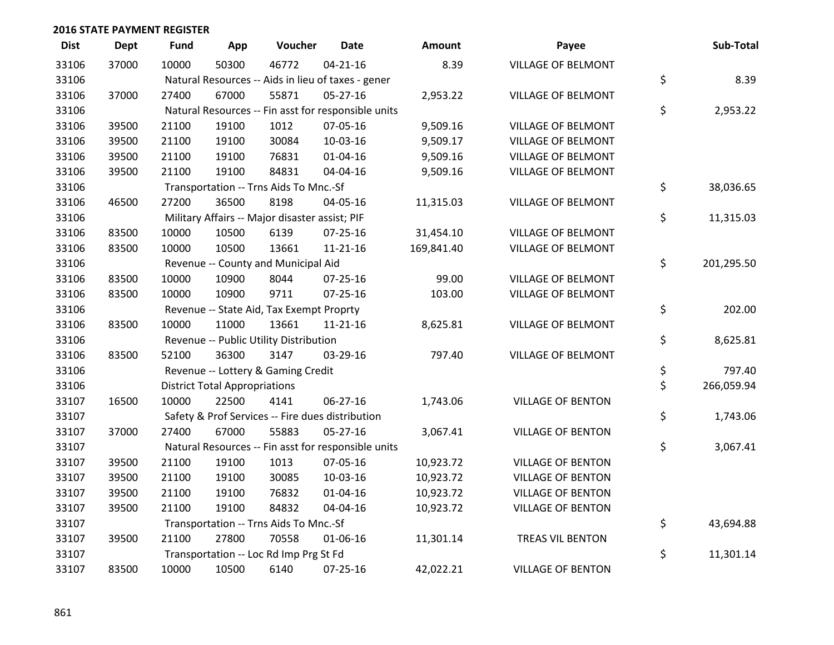| <b>Dist</b> | <b>Dept</b> | <b>Fund</b> | App                                  | Voucher                                        | <b>Date</b>                                         | Amount     | Payee                     | Sub-Total        |
|-------------|-------------|-------------|--------------------------------------|------------------------------------------------|-----------------------------------------------------|------------|---------------------------|------------------|
| 33106       | 37000       | 10000       | 50300                                | 46772                                          | $04 - 21 - 16$                                      | 8.39       | <b>VILLAGE OF BELMONT</b> |                  |
| 33106       |             |             |                                      |                                                | Natural Resources -- Aids in lieu of taxes - gener  |            |                           | \$<br>8.39       |
| 33106       | 37000       | 27400       | 67000                                | 55871                                          | $05 - 27 - 16$                                      | 2,953.22   | VILLAGE OF BELMONT        |                  |
| 33106       |             |             |                                      |                                                | Natural Resources -- Fin asst for responsible units |            |                           | \$<br>2,953.22   |
| 33106       | 39500       | 21100       | 19100                                | 1012                                           | 07-05-16                                            | 9,509.16   | VILLAGE OF BELMONT        |                  |
| 33106       | 39500       | 21100       | 19100                                | 30084                                          | 10-03-16                                            | 9,509.17   | <b>VILLAGE OF BELMONT</b> |                  |
| 33106       | 39500       | 21100       | 19100                                | 76831                                          | $01 - 04 - 16$                                      | 9,509.16   | VILLAGE OF BELMONT        |                  |
| 33106       | 39500       | 21100       | 19100                                | 84831                                          | 04-04-16                                            | 9,509.16   | VILLAGE OF BELMONT        |                  |
| 33106       |             |             |                                      | Transportation -- Trns Aids To Mnc.-Sf         |                                                     |            |                           | \$<br>38,036.65  |
| 33106       | 46500       | 27200       | 36500                                | 8198                                           | 04-05-16                                            | 11,315.03  | VILLAGE OF BELMONT        |                  |
| 33106       |             |             |                                      | Military Affairs -- Major disaster assist; PIF |                                                     |            |                           | \$<br>11,315.03  |
| 33106       | 83500       | 10000       | 10500                                | 6139                                           | $07 - 25 - 16$                                      | 31,454.10  | <b>VILLAGE OF BELMONT</b> |                  |
| 33106       | 83500       | 10000       | 10500                                | 13661                                          | $11 - 21 - 16$                                      | 169,841.40 | VILLAGE OF BELMONT        |                  |
| 33106       |             |             |                                      | Revenue -- County and Municipal Aid            |                                                     |            |                           | \$<br>201,295.50 |
| 33106       | 83500       | 10000       | 10900                                | 8044                                           | 07-25-16                                            | 99.00      | VILLAGE OF BELMONT        |                  |
| 33106       | 83500       | 10000       | 10900                                | 9711                                           | 07-25-16                                            | 103.00     | <b>VILLAGE OF BELMONT</b> |                  |
| 33106       |             |             |                                      | Revenue -- State Aid, Tax Exempt Proprty       |                                                     |            |                           | \$<br>202.00     |
| 33106       | 83500       | 10000       | 11000                                | 13661                                          | $11 - 21 - 16$                                      | 8,625.81   | VILLAGE OF BELMONT        |                  |
| 33106       |             |             |                                      | Revenue -- Public Utility Distribution         |                                                     |            |                           | \$<br>8,625.81   |
| 33106       | 83500       | 52100       | 36300                                | 3147                                           | 03-29-16                                            | 797.40     | <b>VILLAGE OF BELMONT</b> |                  |
| 33106       |             |             |                                      | Revenue -- Lottery & Gaming Credit             |                                                     |            |                           | \$<br>797.40     |
| 33106       |             |             | <b>District Total Appropriations</b> |                                                |                                                     |            |                           | \$<br>266,059.94 |
| 33107       | 16500       | 10000       | 22500                                | 4141                                           | 06-27-16                                            | 1,743.06   | <b>VILLAGE OF BENTON</b>  |                  |
| 33107       |             |             |                                      |                                                | Safety & Prof Services -- Fire dues distribution    |            |                           | \$<br>1,743.06   |
| 33107       | 37000       | 27400       | 67000                                | 55883                                          | $05 - 27 - 16$                                      | 3,067.41   | <b>VILLAGE OF BENTON</b>  |                  |
| 33107       |             |             |                                      |                                                | Natural Resources -- Fin asst for responsible units |            |                           | \$<br>3,067.41   |
| 33107       | 39500       | 21100       | 19100                                | 1013                                           | 07-05-16                                            | 10,923.72  | <b>VILLAGE OF BENTON</b>  |                  |
| 33107       | 39500       | 21100       | 19100                                | 30085                                          | 10-03-16                                            | 10,923.72  | <b>VILLAGE OF BENTON</b>  |                  |
| 33107       | 39500       | 21100       | 19100                                | 76832                                          | $01 - 04 - 16$                                      | 10,923.72  | <b>VILLAGE OF BENTON</b>  |                  |
| 33107       | 39500       | 21100       | 19100                                | 84832                                          | 04-04-16                                            | 10,923.72  | <b>VILLAGE OF BENTON</b>  |                  |
| 33107       |             |             |                                      | Transportation -- Trns Aids To Mnc.-Sf         |                                                     |            |                           | \$<br>43,694.88  |
| 33107       | 39500       | 21100       | 27800                                | 70558                                          | 01-06-16                                            | 11,301.14  | <b>TREAS VIL BENTON</b>   |                  |
| 33107       |             |             |                                      | Transportation -- Loc Rd Imp Prg St Fd         |                                                     |            |                           | \$<br>11,301.14  |
| 33107       | 83500       | 10000       | 10500                                | 6140                                           | $07 - 25 - 16$                                      | 42,022.21  | <b>VILLAGE OF BENTON</b>  |                  |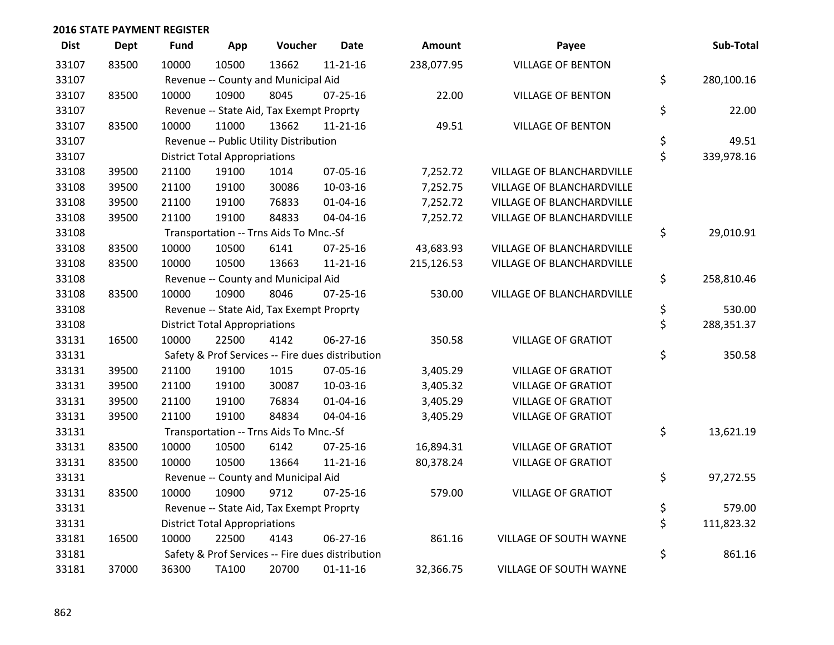| <b>Dist</b> | <b>Dept</b> | <b>Fund</b> | App                                  | Voucher                                  | <b>Date</b>                                      | Amount     | Payee                            | Sub-Total        |
|-------------|-------------|-------------|--------------------------------------|------------------------------------------|--------------------------------------------------|------------|----------------------------------|------------------|
| 33107       | 83500       | 10000       | 10500                                | 13662                                    | $11 - 21 - 16$                                   | 238,077.95 | <b>VILLAGE OF BENTON</b>         |                  |
| 33107       |             |             |                                      | Revenue -- County and Municipal Aid      |                                                  |            |                                  | \$<br>280,100.16 |
| 33107       | 83500       | 10000       | 10900                                | 8045                                     | $07 - 25 - 16$                                   | 22.00      | <b>VILLAGE OF BENTON</b>         |                  |
| 33107       |             |             |                                      | Revenue -- State Aid, Tax Exempt Proprty |                                                  |            |                                  | \$<br>22.00      |
| 33107       | 83500       | 10000       | 11000                                | 13662                                    | $11 - 21 - 16$                                   | 49.51      | <b>VILLAGE OF BENTON</b>         |                  |
| 33107       |             |             |                                      | Revenue -- Public Utility Distribution   |                                                  |            |                                  | \$<br>49.51      |
| 33107       |             |             | <b>District Total Appropriations</b> |                                          |                                                  |            |                                  | \$<br>339,978.16 |
| 33108       | 39500       | 21100       | 19100                                | 1014                                     | 07-05-16                                         | 7,252.72   | <b>VILLAGE OF BLANCHARDVILLE</b> |                  |
| 33108       | 39500       | 21100       | 19100                                | 30086                                    | 10-03-16                                         | 7,252.75   | VILLAGE OF BLANCHARDVILLE        |                  |
| 33108       | 39500       | 21100       | 19100                                | 76833                                    | $01 - 04 - 16$                                   | 7,252.72   | VILLAGE OF BLANCHARDVILLE        |                  |
| 33108       | 39500       | 21100       | 19100                                | 84833                                    | 04-04-16                                         | 7,252.72   | <b>VILLAGE OF BLANCHARDVILLE</b> |                  |
| 33108       |             |             |                                      | Transportation -- Trns Aids To Mnc.-Sf   |                                                  |            |                                  | \$<br>29,010.91  |
| 33108       | 83500       | 10000       | 10500                                | 6141                                     | $07 - 25 - 16$                                   | 43,683.93  | VILLAGE OF BLANCHARDVILLE        |                  |
| 33108       | 83500       | 10000       | 10500                                | 13663                                    | $11 - 21 - 16$                                   | 215,126.53 | VILLAGE OF BLANCHARDVILLE        |                  |
| 33108       |             |             |                                      | Revenue -- County and Municipal Aid      |                                                  |            |                                  | \$<br>258,810.46 |
| 33108       | 83500       | 10000       | 10900                                | 8046                                     | $07 - 25 - 16$                                   | 530.00     | VILLAGE OF BLANCHARDVILLE        |                  |
| 33108       |             |             |                                      | Revenue -- State Aid, Tax Exempt Proprty |                                                  |            |                                  | \$<br>530.00     |
| 33108       |             |             | <b>District Total Appropriations</b> |                                          |                                                  |            |                                  | \$<br>288,351.37 |
| 33131       | 16500       | 10000       | 22500                                | 4142                                     | 06-27-16                                         | 350.58     | <b>VILLAGE OF GRATIOT</b>        |                  |
| 33131       |             |             |                                      |                                          | Safety & Prof Services -- Fire dues distribution |            |                                  | \$<br>350.58     |
| 33131       | 39500       | 21100       | 19100                                | 1015                                     | 07-05-16                                         | 3,405.29   | <b>VILLAGE OF GRATIOT</b>        |                  |
| 33131       | 39500       | 21100       | 19100                                | 30087                                    | 10-03-16                                         | 3,405.32   | <b>VILLAGE OF GRATIOT</b>        |                  |
| 33131       | 39500       | 21100       | 19100                                | 76834                                    | $01 - 04 - 16$                                   | 3,405.29   | <b>VILLAGE OF GRATIOT</b>        |                  |
| 33131       | 39500       | 21100       | 19100                                | 84834                                    | 04-04-16                                         | 3,405.29   | <b>VILLAGE OF GRATIOT</b>        |                  |
| 33131       |             |             |                                      | Transportation -- Trns Aids To Mnc.-Sf   |                                                  |            |                                  | \$<br>13,621.19  |
| 33131       | 83500       | 10000       | 10500                                | 6142                                     | 07-25-16                                         | 16,894.31  | <b>VILLAGE OF GRATIOT</b>        |                  |
| 33131       | 83500       | 10000       | 10500                                | 13664                                    | $11 - 21 - 16$                                   | 80,378.24  | <b>VILLAGE OF GRATIOT</b>        |                  |
| 33131       |             |             |                                      | Revenue -- County and Municipal Aid      |                                                  |            |                                  | \$<br>97,272.55  |
| 33131       | 83500       | 10000       | 10900                                | 9712                                     | $07 - 25 - 16$                                   | 579.00     | <b>VILLAGE OF GRATIOT</b>        |                  |
| 33131       |             |             |                                      | Revenue -- State Aid, Tax Exempt Proprty |                                                  |            |                                  | \$<br>579.00     |
| 33131       |             |             | <b>District Total Appropriations</b> |                                          |                                                  |            |                                  | \$<br>111,823.32 |
| 33181       | 16500       | 10000       | 22500                                | 4143                                     | 06-27-16                                         | 861.16     | VILLAGE OF SOUTH WAYNE           |                  |
| 33181       |             |             |                                      |                                          | Safety & Prof Services -- Fire dues distribution |            |                                  | \$<br>861.16     |
| 33181       | 37000       | 36300       | TA100                                | 20700                                    | $01 - 11 - 16$                                   | 32,366.75  | VILLAGE OF SOUTH WAYNE           |                  |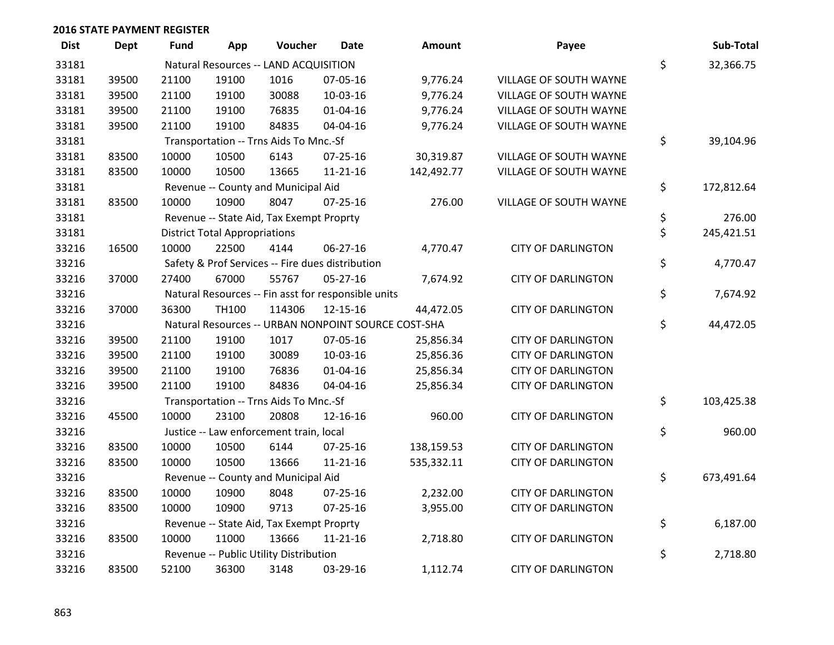| <b>Dist</b> | <b>Dept</b> | <b>Fund</b> | App                                  | Voucher                                  | <b>Date</b>                                         | Amount                                              | Payee                     | Sub-Total        |
|-------------|-------------|-------------|--------------------------------------|------------------------------------------|-----------------------------------------------------|-----------------------------------------------------|---------------------------|------------------|
| 33181       |             |             |                                      | Natural Resources -- LAND ACQUISITION    |                                                     |                                                     |                           | \$<br>32,366.75  |
| 33181       | 39500       | 21100       | 19100                                | 1016                                     | 07-05-16                                            | 9,776.24                                            | VILLAGE OF SOUTH WAYNE    |                  |
| 33181       | 39500       | 21100       | 19100                                | 30088                                    | 10-03-16                                            | 9,776.24                                            | VILLAGE OF SOUTH WAYNE    |                  |
| 33181       | 39500       | 21100       | 19100                                | 76835                                    | $01 - 04 - 16$                                      | 9,776.24                                            | VILLAGE OF SOUTH WAYNE    |                  |
| 33181       | 39500       | 21100       | 19100                                | 84835                                    | 04-04-16                                            | 9,776.24                                            | VILLAGE OF SOUTH WAYNE    |                  |
| 33181       |             |             |                                      | Transportation -- Trns Aids To Mnc.-Sf   |                                                     |                                                     |                           | \$<br>39,104.96  |
| 33181       | 83500       | 10000       | 10500                                | 6143                                     | 07-25-16                                            | 30,319.87                                           | VILLAGE OF SOUTH WAYNE    |                  |
| 33181       | 83500       | 10000       | 10500                                | 13665                                    | $11 - 21 - 16$                                      | 142,492.77                                          | VILLAGE OF SOUTH WAYNE    |                  |
| 33181       |             |             |                                      | Revenue -- County and Municipal Aid      |                                                     |                                                     |                           | \$<br>172,812.64 |
| 33181       | 83500       | 10000       | 10900                                | 8047                                     | $07 - 25 - 16$                                      | 276.00                                              | VILLAGE OF SOUTH WAYNE    |                  |
| 33181       |             |             |                                      | Revenue -- State Aid, Tax Exempt Proprty |                                                     |                                                     |                           | \$<br>276.00     |
| 33181       |             |             | <b>District Total Appropriations</b> |                                          |                                                     |                                                     |                           | \$<br>245,421.51 |
| 33216       | 16500       | 10000       | 22500                                | 4144                                     | 06-27-16                                            | 4,770.47                                            | <b>CITY OF DARLINGTON</b> |                  |
| 33216       |             |             |                                      |                                          | Safety & Prof Services -- Fire dues distribution    |                                                     |                           | \$<br>4,770.47   |
| 33216       | 37000       | 27400       | 67000                                | 55767                                    | $05 - 27 - 16$                                      | 7,674.92                                            | <b>CITY OF DARLINGTON</b> |                  |
| 33216       |             |             |                                      |                                          | Natural Resources -- Fin asst for responsible units |                                                     |                           | \$<br>7,674.92   |
| 33216       | 37000       | 36300       | TH100                                | 114306                                   | 12-15-16                                            | 44,472.05                                           | <b>CITY OF DARLINGTON</b> |                  |
| 33216       |             |             |                                      |                                          |                                                     | Natural Resources -- URBAN NONPOINT SOURCE COST-SHA |                           | \$<br>44,472.05  |
| 33216       | 39500       | 21100       | 19100                                | 1017                                     | 07-05-16                                            | 25,856.34                                           | <b>CITY OF DARLINGTON</b> |                  |
| 33216       | 39500       | 21100       | 19100                                | 30089                                    | 10-03-16                                            | 25,856.36                                           | <b>CITY OF DARLINGTON</b> |                  |
| 33216       | 39500       | 21100       | 19100                                | 76836                                    | $01 - 04 - 16$                                      | 25,856.34                                           | <b>CITY OF DARLINGTON</b> |                  |
| 33216       | 39500       | 21100       | 19100                                | 84836                                    | 04-04-16                                            | 25,856.34                                           | <b>CITY OF DARLINGTON</b> |                  |
| 33216       |             |             |                                      | Transportation -- Trns Aids To Mnc.-Sf   |                                                     |                                                     |                           | \$<br>103,425.38 |
| 33216       | 45500       | 10000       | 23100                                | 20808                                    | 12-16-16                                            | 960.00                                              | <b>CITY OF DARLINGTON</b> |                  |
| 33216       |             |             |                                      | Justice -- Law enforcement train, local  |                                                     |                                                     |                           | \$<br>960.00     |
| 33216       | 83500       | 10000       | 10500                                | 6144                                     | 07-25-16                                            | 138,159.53                                          | <b>CITY OF DARLINGTON</b> |                  |
| 33216       | 83500       | 10000       | 10500                                | 13666                                    | $11 - 21 - 16$                                      | 535,332.11                                          | <b>CITY OF DARLINGTON</b> |                  |
| 33216       |             |             |                                      | Revenue -- County and Municipal Aid      |                                                     |                                                     |                           | \$<br>673,491.64 |
| 33216       | 83500       | 10000       | 10900                                | 8048                                     | 07-25-16                                            | 2,232.00                                            | <b>CITY OF DARLINGTON</b> |                  |
| 33216       | 83500       | 10000       | 10900                                | 9713                                     | $07 - 25 - 16$                                      | 3,955.00                                            | <b>CITY OF DARLINGTON</b> |                  |
| 33216       |             |             |                                      | Revenue -- State Aid, Tax Exempt Proprty |                                                     |                                                     |                           | \$<br>6,187.00   |
| 33216       | 83500       | 10000       | 11000                                | 13666                                    | $11 - 21 - 16$                                      | 2,718.80                                            | <b>CITY OF DARLINGTON</b> |                  |
| 33216       |             |             |                                      | Revenue -- Public Utility Distribution   |                                                     |                                                     |                           | \$<br>2,718.80   |
| 33216       | 83500       | 52100       | 36300                                | 3148                                     | 03-29-16                                            | 1,112.74                                            | <b>CITY OF DARLINGTON</b> |                  |